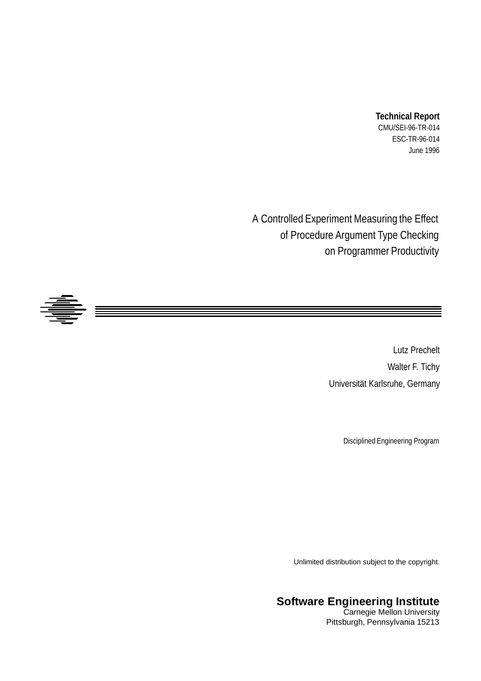#### **Technical Report**

CMU/SEI-96-TR-014 ESC-TR-96-014 June 1996

A Controlled Experiment Measuring the Effect of Procedure Argument Type Checking on Programmer Productivity



Lutz Prechelt Walter F. Tichy Universität Karlsruhe, Germany

Disciplined Engineering Program

Unlimited distribution subject to the copyright.

### **Software Engineering Institute**

Carnegie Mellon University Pittsburgh, Pennsylvania 15213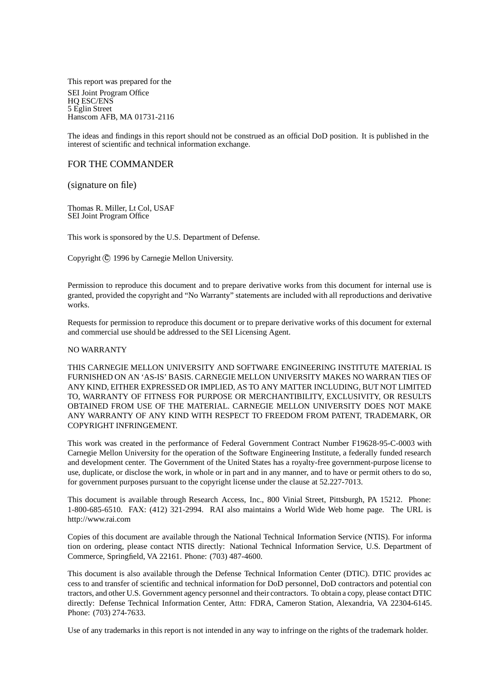This report was prepared for the SEI Joint Program Office HQ ESC/ENS 5 Eglin Street Hanscom AFB, MA 01731-2116

The ideas and findings in this report should not be construed as an official DoD position. It is published in the interest of scientific and technical information exchange.

#### FOR THE COMMANDER

(signature on file)

Thomas R. Miller, Lt Col, USAF SEI Joint Program Office

This work is sponsored by the U.S. Department of Defense.

Copyright (C) 1996 by Carnegie Mellon University.

Permission to reproduce this document and to prepare derivative works from this document for internal use is granted, provided the copyright and "No Warranty" statements are included with all reproductions and derivative works.

Requests for permission to reproduce this document or to prepare derivative works of this document for external and commercial use should be addressed to the SEI Licensing Agent.

#### NO WARRANTY

THIS CARNEGIE MELLON UNIVERSITY AND SOFTWARE ENGINEERING INSTITUTE MATERIAL IS FURNISHED ON AN 'AS-IS' BASIS. CARNEGIE MELLON UNIVERSITY MAKES NO WARRAN TIES OF ANY KIND, EITHER EXPRESSED OR IMPLIED, AS TO ANY MATTER INCLUDING, BUT NOT LIMITED TO, WARRANTY OF FITNESS FOR PURPOSE OR MERCHANTIBILITY, EXCLUSIVITY, OR RESULTS OBTAINED FROM USE OF THE MATERIAL. CARNEGIE MELLON UNIVERSITY DOES NOT MAKE ANY WARRANTY OF ANY KIND WITH RESPECT TO FREEDOM FROM PATENT, TRADEMARK, OR COPYRIGHT INFRINGEMENT.

This work was created in the performance of Federal Government Contract Number F19628-95-C-0003 with Carnegie Mellon University for the operation of the Software Engineering Institute, a federally funded research and development center. The Government of the United States has a royalty-free government-purpose license to use, duplicate, or disclose the work, in whole or in part and in any manner, and to have or permit others to do so, for government purposes pursuant to the copyright license under the clause at 52.227-7013.

This document is available through Research Access, Inc., 800 Vinial Street, Pittsburgh, PA 15212. Phone: 1-800-685-6510. FAX: (412) 321-2994. RAI also maintains a World Wide Web home page. The URL is http://www.rai.com

Copies of this document are available through the National Technical Information Service (NTIS). For informa tion on ordering, please contact NTIS directly: National Technical Information Service, U.S. Department of Commerce, Springfield, VA 22161. Phone: (703) 487-4600.

This document is also available through the Defense Technical Information Center (DTIC). DTIC provides ac cess to and transfer of scientific and technical information for DoD personnel, DoD contractors and potential con tractors, and other U.S. Government agency personnel and their contractors. To obtain a copy, please contact DTIC directly: Defense Technical Information Center, Attn: FDRA, Cameron Station, Alexandria, VA 22304-6145. Phone: (703) 274-7633.

Use of any trademarks in this report is not intended in any way to infringe on the rights of the trademark holder.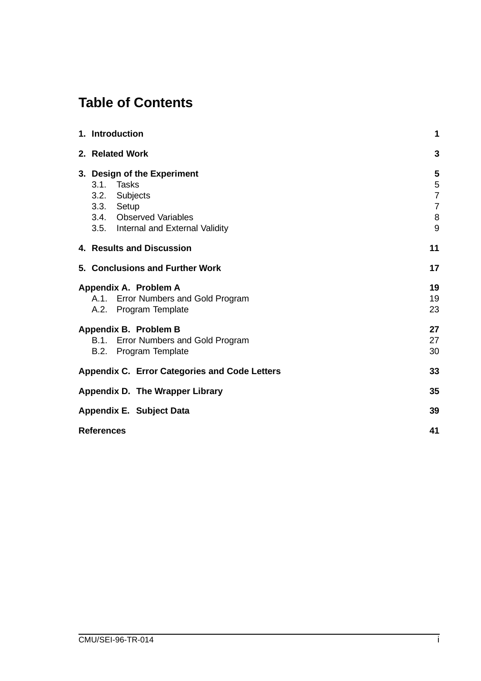# **Table of Contents**

|                                 | 1. Introduction                                                                                                                            | 1                                                    |  |  |  |
|---------------------------------|--------------------------------------------------------------------------------------------------------------------------------------------|------------------------------------------------------|--|--|--|
|                                 | 2. Related Work                                                                                                                            | 3                                                    |  |  |  |
|                                 | 3. Design of the Experiment<br>3.1. Tasks<br>3.2. Subjects<br>3.3. Setup<br>3.4. Observed Variables<br>3.5. Internal and External Validity | 5<br>5<br>$\overline{7}$<br>$\overline{7}$<br>8<br>9 |  |  |  |
|                                 | 4. Results and Discussion                                                                                                                  | 11                                                   |  |  |  |
|                                 | 5. Conclusions and Further Work                                                                                                            | 17                                                   |  |  |  |
|                                 | Appendix A. Problem A<br>A.1. Error Numbers and Gold Program<br>A.2. Program Template                                                      | 19<br>19<br>23                                       |  |  |  |
|                                 | Appendix B. Problem B<br>B.1. Error Numbers and Gold Program<br>B.2. Program Template                                                      | 27<br>27<br>30                                       |  |  |  |
|                                 | <b>Appendix C. Error Categories and Code Letters</b>                                                                                       | 33                                                   |  |  |  |
| Appendix D. The Wrapper Library |                                                                                                                                            |                                                      |  |  |  |
|                                 | Appendix E. Subject Data                                                                                                                   | 39                                                   |  |  |  |
|                                 | <b>References</b>                                                                                                                          |                                                      |  |  |  |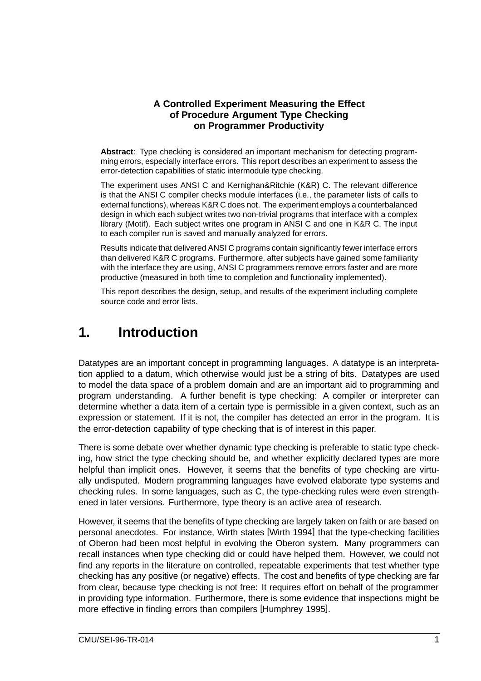### **A Controlled Experiment Measuring the Effect of Procedure Argument Type Checking on Programmer Productivity**

**Abstract**: Type checking is considered an important mechanism for detecting programming errors, especially interface errors. This report describes an experiment to assess the error-detection capabilities of static intermodule type checking.

The experiment uses ANSI C and Kernighan&Ritchie (K&R) C. The relevant difference is that the ANSI C compiler checks module interfaces (i.e., the parameter lists of calls to external functions), whereas K&R C does not. The experiment employs a counterbalanced design in which each subject writes two non-trivial programs that interface with a complex library (Motif). Each subject writes one program in ANSI C and one in K&R C. The input to each compiler run is saved and manually analyzed for errors.

Results indicate that delivered ANSI C programs contain significantly fewer interface errors than delivered K&R C programs. Furthermore, after subjects have gained some familiarity with the interface they are using, ANSI C programmers remove errors faster and are more productive (measured in both time to completion and functionality implemented).

This report describes the design, setup, and results of the experiment including complete source code and error lists.

## **1. Introduction**

Datatypes are an important concept in programming languages. A datatype is an interpretation applied to a datum, which otherwise would just be a string of bits. Datatypes are used to model the data space of a problem domain and are an important aid to programming and program understanding. A further benefit is type checking: A compiler or interpreter can determine whether a data item of a certain type is permissible in a given context, such as an expression or statement. If it is not, the compiler has detected an error in the program. It is the error-detection capability of type checking that is of interest in this paper.

There is some debate over whether dynamic type checking is preferable to static type checking, how strict the type checking should be, and whether explicitly declared types are more helpful than implicit ones. However, it seems that the benefits of type checking are virtually undisputed. Modern programming languages have evolved elaborate type systems and checking rules. In some languages, such as C, the type-checking rules were even strengthened in later versions. Furthermore, type theory is an active area of research.

However, it seems that the benefits of type checking are largely taken on faith or are based on personal anecdotes. For instance, Wirth states [Wirth 1994] that the type-checking facilities of Oberon had been most helpful in evolving the Oberon system. Many programmers can recall instances when type checking did or could have helped them. However, we could not find any reports in the literature on controlled, repeatable experiments that test whether type checking has any positive (or negative) effects. The cost and benefits of type checking are far from clear, because type checking is not free: It requires effort on behalf of the programmer in providing type information. Furthermore, there is some evidence that inspections might be more effective in finding errors than compilers [Humphrey 1995].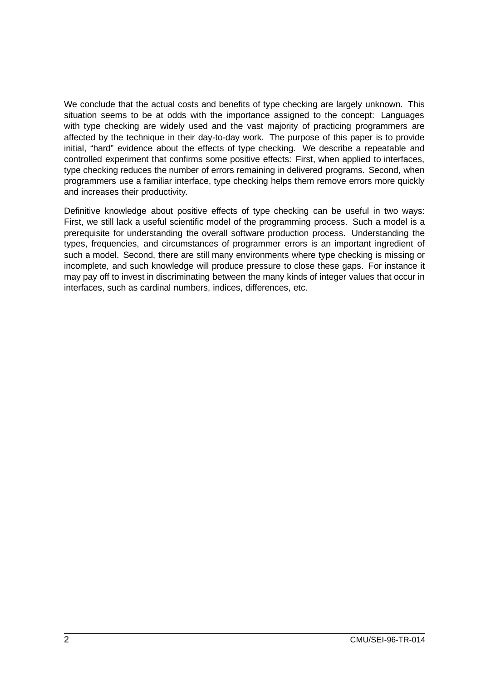We conclude that the actual costs and benefits of type checking are largely unknown. This situation seems to be at odds with the importance assigned to the concept: Languages with type checking are widely used and the vast majority of practicing programmers are affected by the technique in their day-to-day work. The purpose of this paper is to provide initial, "hard" evidence about the effects of type checking. We describe a repeatable and controlled experiment that confirms some positive effects: First, when applied to interfaces, type checking reduces the number of errors remaining in delivered programs. Second, when programmers use a familiar interface, type checking helps them remove errors more quickly and increases their productivity.

Definitive knowledge about positive effects of type checking can be useful in two ways: First, we still lack a useful scientific model of the programming process. Such a model is a prerequisite for understanding the overall software production process. Understanding the types, frequencies, and circumstances of programmer errors is an important ingredient of such a model. Second, there are still many environments where type checking is missing or incomplete, and such knowledge will produce pressure to close these gaps. For instance it may pay off to invest in discriminating between the many kinds of integer values that occur in interfaces, such as cardinal numbers, indices, differences, etc.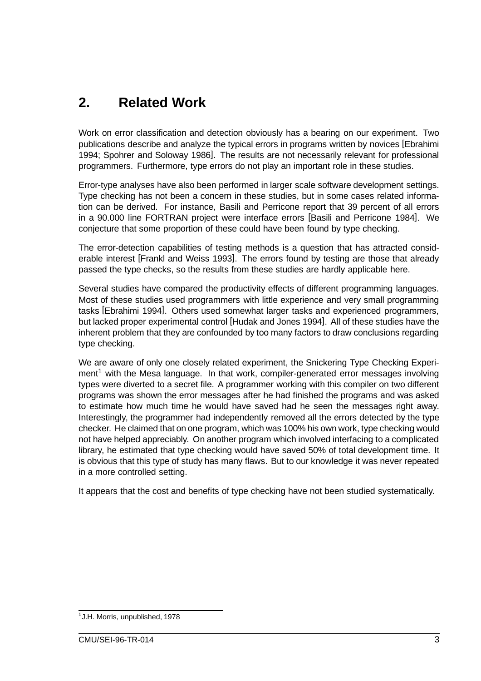# **2. Related Work**

Work on error classification and detection obviously has a bearing on our experiment. Two publications describe and analyze the typical errors in programs written by novices [Ebrahimi 1994; Spohrer and Soloway 1986]. The results are not necessarily relevant for professional programmers. Furthermore, type errors do not play an important role in these studies.

Error-type analyses have also been performed in larger scale software development settings. Type checking has not been a concern in these studies, but in some cases related information can be derived. For instance, Basili and Perricone report that 39 percent of all errors in a 90.000 line FORTRAN project were interface errors [Basili and Perricone 1984]. We conjecture that some proportion of these could have been found by type checking.

The error-detection capabilities of testing methods is a question that has attracted considerable interest [Frankl and Weiss 1993]. The errors found by testing are those that already passed the type checks, so the results from these studies are hardly applicable here.

Several studies have compared the productivity effects of different programming languages. Most of these studies used programmers with little experience and very small programming tasks [Ebrahimi 1994]. Others used somewhat larger tasks and experienced programmers, but lacked proper experimental control [Hudak and Jones 1994]. All of these studies have the inherent problem that they are confounded by too many factors to draw conclusions regarding type checking.

We are aware of only one closely related experiment, the Snickering Type Checking Experiment<sup>1</sup> with the Mesa language. In that work, compiler-generated error messages involving types were diverted to a secret file. A programmer working with this compiler on two different programs was shown the error messages after he had finished the programs and was asked to estimate how much time he would have saved had he seen the messages right away. Interestingly, the programmer had independently removed all the errors detected by the type checker. He claimed that on one program, which was 100% his own work, type checking would not have helped appreciably. On another program which involved interfacing to a complicated library, he estimated that type checking would have saved 50% of total development time. It is obvious that this type of study has many flaws. But to our knowledge it was never repeated in a more controlled setting.

It appears that the cost and benefits of type checking have not been studied systematically.

<sup>&</sup>lt;sup>1</sup>J.H. Morris, unpublished, 1978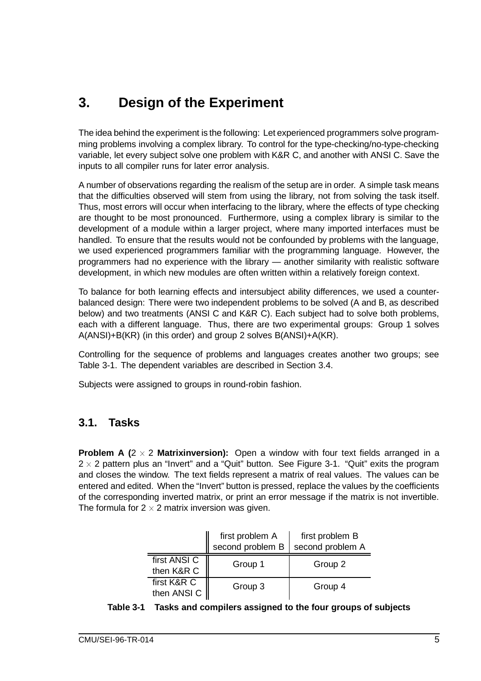# **3. Design of the Experiment**

The idea behind the experiment is the following: Let experienced programmers solve programming problems involving a complex library. To control for the type-checking/no-type-checking variable, let every subject solve one problem with K&R C, and another with ANSI C. Save the inputs to all compiler runs for later error analysis.

A number of observations regarding the realism of the setup are in order. A simple task means that the difficulties observed will stem from using the library, not from solving the task itself. Thus, most errors will occur when interfacing to the library, where the effects of type checking are thought to be most pronounced. Furthermore, using a complex library is similar to the development of a module within a larger project, where many imported interfaces must be handled. To ensure that the results would not be confounded by problems with the language, we used experienced programmers familiar with the programming language. However, the programmers had no experience with the library — another similarity with realistic software development, in which new modules are often written within a relatively foreign context.

To balance for both learning effects and intersubject ability differences, we used a counterbalanced design: There were two independent problems to be solved (A and B, as described below) and two treatments (ANSI C and K&R C). Each subject had to solve both problems, each with a different language. Thus, there are two experimental groups: Group 1 solves A(ANSI)+B(KR) (in this order) and group 2 solves B(ANSI)+A(KR).

Controlling for the sequence of problems and languages creates another two groups; see Table 3-1. The dependent variables are described in Section 3.4.

Subjects were assigned to groups in round-robin fashion.

### **3.1. Tasks**

**Problem A (2**  $\times$  2 **Matrixinversion):** Open a window with four text fields arranged in a 2  $\times$  2 pattern plus an "Invert" and a "Quit" button. See Figure 3-1. "Quit" exits the program and closes the window. The text fields represent a matrix of real values. The values can be entered and edited. When the "Invert" button is pressed, replace the values by the coefficients of the corresponding inverted matrix, or print an error message if the matrix is not invertible. The formula for 2  $\times$  2 matrix inversion was given.

|                            | first problem A<br>second problem B | first problem B<br>second problem A |
|----------------------------|-------------------------------------|-------------------------------------|
| first ANSI C<br>then K&R C | Group 1                             | Group 2                             |
| first K&R C<br>then ANSI C | Group 3                             | Group 4                             |

|  | Table 3-1 Tasks and compilers assigned to the four groups of subjects |  |
|--|-----------------------------------------------------------------------|--|
|--|-----------------------------------------------------------------------|--|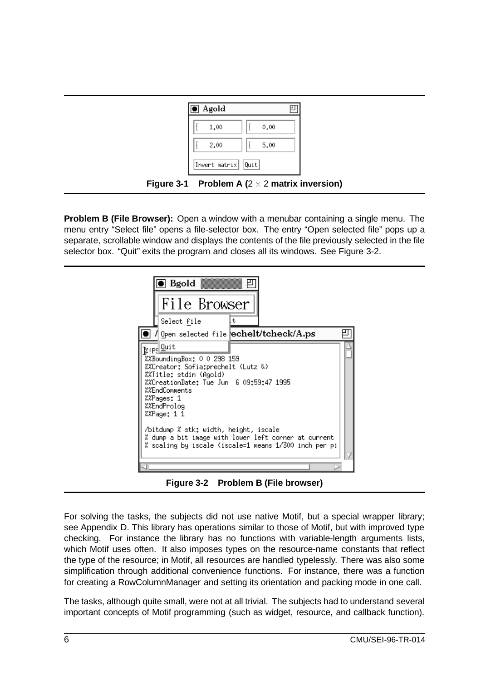

**Problem B (File Browser):** Open a window with a menubar containing a single menu. The menu entry "Select file" opens a file-selector box. The entry "Open selected file" pops up a separate, scrollable window and displays the contents of the file previously selected in the file selector box. "Quit" exits the program and closes all its windows. See Figure 3-2.



**Figure 3-2 Problem B (File browser)**

For solving the tasks, the subjects did not use native Motif, but a special wrapper library; see Appendix D. This library has operations similar to those of Motif, but with improved type checking. For instance the library has no functions with variable-length arguments lists, which Motif uses often. It also imposes types on the resource-name constants that reflect the type of the resource; in Motif, all resources are handled typelessly. There was also some simplification through additional convenience functions. For instance, there was a function for creating a RowColumnManager and setting its orientation and packing mode in one call.

The tasks, although quite small, were not at all trivial. The subjects had to understand several important concepts of Motif programming (such as widget, resource, and callback function).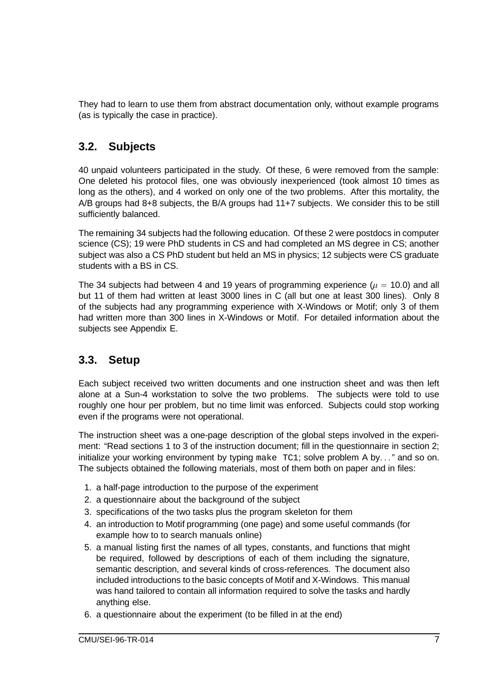They had to learn to use them from abstract documentation only, without example programs (as is typically the case in practice).

### **3.2. Subjects**

40 unpaid volunteers participated in the study. Of these, 6 were removed from the sample: One deleted his protocol files, one was obviously inexperienced (took almost 10 times as long as the others), and 4 worked on only one of the two problems. After this mortality, the A/B groups had 8+8 subjects, the B/A groups had 11+7 subjects. We consider this to be still sufficiently balanced.

The remaining 34 subjects had the following education. Of these 2 were postdocs in computer science (CS); 19 were PhD students in CS and had completed an MS degree in CS; another subject was also a CS PhD student but held an MS in physics; 12 subjects were CS graduate students with a BS in CS.

The 34 subjects had between 4 and 19 years of programming experience ( $\mu$  = 10.0) and all but 11 of them had written at least 3000 lines in C (all but one at least 300 lines). Only 8 of the subjects had any programming experience with X-Windows or Motif; only 3 of them had written more than 300 lines in X-Windows or Motif. For detailed information about the subjects see Appendix E.

### **3.3. Setup**

Each subject received two written documents and one instruction sheet and was then left alone at a Sun-4 workstation to solve the two problems. The subjects were told to use roughly one hour per problem, but no time limit was enforced. Subjects could stop working even if the programs were not operational.

The instruction sheet was a one-page description of the global steps involved in the experiment: "Read sections 1 to 3 of the instruction document; fill in the questionnaire in section 2; initialize your working environment by typing  $make$  TC1; solve problem A by..." and so on. The subjects obtained the following materials, most of them both on paper and in files:

- 1. a half-page introduction to the purpose of the experiment
- 2. a questionnaire about the background of the subject
- 3. specifications of the two tasks plus the program skeleton for them
- 4. an introduction to Motif programming (one page) and some useful commands (for example how to to search manuals online)
- 5. a manual listing first the names of all types, constants, and functions that might be required, followed by descriptions of each of them including the signature, semantic description, and several kinds of cross-references. The document also included introductions to the basic concepts of Motif and X-Windows. This manual was hand tailored to contain all information required to solve the tasks and hardly anything else.
- 6. a questionnaire about the experiment (to be filled in at the end)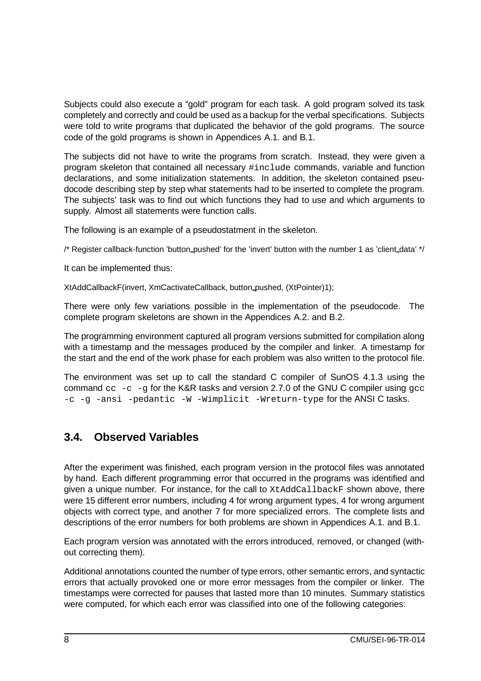Subjects could also execute a "gold" program for each task. A gold program solved its task completely and correctly and could be used as a backup for the verbal specifications. Subjects were told to write programs that duplicated the behavior of the gold programs. The source code of the gold programs is shown in Appendices A.1. and B.1.

The subjects did not have to write the programs from scratch. Instead, they were given a program skeleton that contained all necessary #include commands, variable and function declarations, and some initialization statements. In addition, the skeleton contained pseudocode describing step by step what statements had to be inserted to complete the program. The subjects' task was to find out which functions they had to use and which arguments to supply. Almost all statements were function calls.

The following is an example of a pseudostatment in the skeleton.

/\* Register callback-function 'button\_pushed' for the 'invert' button with the number 1 as 'client\_data' \*/

It can be implemented thus:

XtAddCallbackF(invert, XmCactivateCallback, button pushed, (XtPointer)1);

There were only few variations possible in the implementation of the pseudocode. The complete program skeletons are shown in the Appendices A.2. and B.2.

The programming environment captured all program versions submitted for compilation along with a timestamp and the messages produced by the compiler and linker. A timestamp for the start and the end of the work phase for each problem was also written to the protocol file.

The environment was set up to call the standard C compiler of SunOS 4.1.3 using the command  $cc -c -q$  for the K&R tasks and version 2.7.0 of the GNU C compiler using  $qcc$  $-c$  -g -ansi -pedantic -W -Wimplicit -Wreturn-type for the ANSI C tasks.

### **3.4. Observed Variables**

After the experiment was finished, each program version in the protocol files was annotated by hand. Each different programming error that occurred in the programs was identified and given a unique number. For instance, for the call to XtAddCallbackF shown above, there were 15 different error numbers, including 4 for wrong argument types, 4 for wrong argument objects with correct type, and another 7 for more specialized errors. The complete lists and descriptions of the error numbers for both problems are shown in Appendices A.1. and B.1.

Each program version was annotated with the errors introduced, removed, or changed (without correcting them).

Additional annotations counted the number of type errors, other semantic errors, and syntactic errors that actually provoked one or more error messages from the compiler or linker. The timestamps were corrected for pauses that lasted more than 10 minutes. Summary statistics were computed, for which each error was classified into one of the following categories: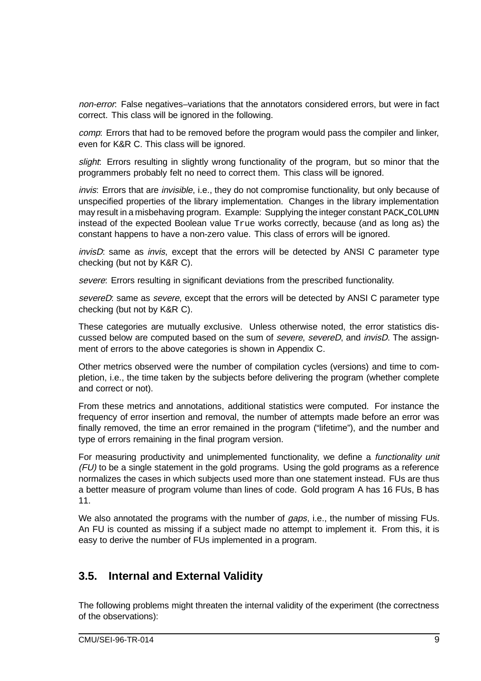non-error: False negatives–variations that the annotators considered errors, but were in fact correct. This class will be ignored in the following.

comp: Errors that had to be removed before the program would pass the compiler and linker, even for K&R C. This class will be ignored.

slight: Errors resulting in slightly wrong functionality of the program, but so minor that the programmers probably felt no need to correct them. This class will be ignored.

invis: Errors that are invisible, i.e., they do not compromise functionality, but only because of unspecified properties of the library implementation. Changes in the library implementation may result in a misbehaving program. Example: Supplying the integer constant PACK\_COLUMN instead of the expected Boolean value True works correctly, because (and as long as) the constant happens to have a non-zero value. This class of errors will be ignored.

invisD: same as invis, except that the errors will be detected by ANSI C parameter type checking (but not by K&R C).

severe: Errors resulting in significant deviations from the prescribed functionality.

severeD: same as severe, except that the errors will be detected by ANSI C parameter type checking (but not by K&R C).

These categories are mutually exclusive. Unless otherwise noted, the error statistics discussed below are computed based on the sum of *severe*, severeD, and *invisD*. The assignment of errors to the above categories is shown in Appendix C.

Other metrics observed were the number of compilation cycles (versions) and time to completion, i.e., the time taken by the subjects before delivering the program (whether complete and correct or not).

From these metrics and annotations, additional statistics were computed. For instance the frequency of error insertion and removal, the number of attempts made before an error was finally removed, the time an error remained in the program ("lifetime"), and the number and type of errors remaining in the final program version.

For measuring productivity and unimplemented functionality, we define a *functionality unit* (FU) to be a single statement in the gold programs. Using the gold programs as a reference normalizes the cases in which subjects used more than one statement instead. FUs are thus a better measure of program volume than lines of code. Gold program A has 16 FUs, B has 11.

We also annotated the programs with the number of *gaps*, i.e., the number of missing FUs. An FU is counted as missing if a subject made no attempt to implement it. From this, it is easy to derive the number of FUs implemented in a program.

### **3.5. Internal and External Validity**

The following problems might threaten the internal validity of the experiment (the correctness of the observations):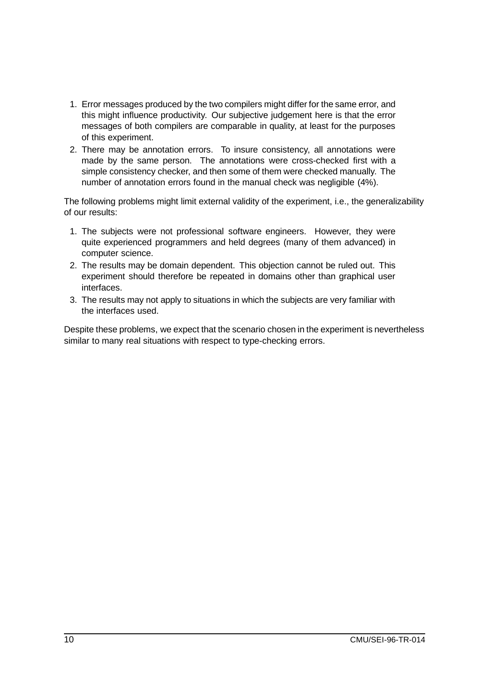- 1. Error messages produced by the two compilers might differ for the same error, and this might influence productivity. Our subjective judgement here is that the error messages of both compilers are comparable in quality, at least for the purposes of this experiment.
- 2. There may be annotation errors. To insure consistency, all annotations were made by the same person. The annotations were cross-checked first with a simple consistency checker, and then some of them were checked manually. The number of annotation errors found in the manual check was negligible (4%).

The following problems might limit external validity of the experiment, i.e., the generalizability of our results:

- 1. The subjects were not professional software engineers. However, they were quite experienced programmers and held degrees (many of them advanced) in computer science.
- 2. The results may be domain dependent. This objection cannot be ruled out. This experiment should therefore be repeated in domains other than graphical user interfaces.
- 3. The results may not apply to situations in which the subjects are very familiar with the interfaces used.

Despite these problems, we expect that the scenario chosen in the experiment is nevertheless similar to many real situations with respect to type-checking errors.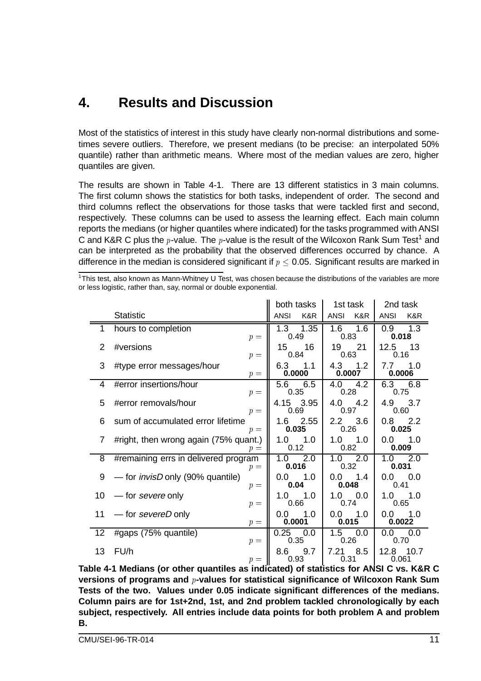## **4. Results and Discussion**

Most of the statistics of interest in this study have clearly non-normal distributions and sometimes severe outliers. Therefore, we present medians (to be precise: an interpolated 50% quantile) rather than arithmetic means. Where most of the median values are zero, higher quantiles are given.

The results are shown in Table 4-1. There are 13 different statistics in 3 main columns. The first column shows the statistics for both tasks, independent of order. The second and third columns reflect the observations for those tasks that were tackled first and second, respectively. These columns can be used to assess the learning effect. Each main column reports the medians (or higher quantiles where indicated) for the tasks programmed with ANSI C and K&R C plus the p-value. The p-value is the result of the Wilcoxon Rank Sum Test<sup>1</sup> and can be interpreted as the probability that the observed differences occurred by chance. A difference in the median is considered significant if  $p \leq 0.05$ . Significant results are marked in

 $1$ This test, also known as Mann-Whitney U Test, was chosen because the distributions of the variables are more or less logistic, rather than, say, normal or double exponential.

|    |                                                  | both tasks           | 1st task               | 2nd task                |  |
|----|--------------------------------------------------|----------------------|------------------------|-------------------------|--|
|    | <b>Statistic</b>                                 | <b>ANSI</b><br>K&R   | K&R<br>ANSI            | <b>ANSI</b><br>K&R      |  |
|    | hours to completion<br>$p =$                     | 1.3 1.35<br>0.49     | $1.6$ 1.6<br>0.83      | 1.3<br>$0.9 -$<br>0.018 |  |
| 2  | #versions<br>$p =$                               | 15<br>16<br>0.84     | 19<br>21<br>0.63       | 12.5<br>- 13<br>0.16    |  |
| 3  | #type error messages/hour<br>$p =$               | 6.3<br>1.1<br>0.0000 | 4.3<br>1.2<br>0.0007   | 7.7<br>$-1.0$<br>0.0006 |  |
| 4  | #error insertions/hour<br>$p =$                  | 5.6 6.5<br>0.35      | 4.2<br>4.0<br>0.28     | 6.3 6.8<br>0.75         |  |
| 5  | #error removals/hour<br>$p =$                    | 4.15 3.95<br>0.69    | $4.0$ $4.2$<br>0.97    | 4.9 3.7<br>0.60         |  |
| 6  | sum of accumulated error lifetime<br>$p =$       | 1.6 2.55<br>0.035    | $2.2\quad 3.6$<br>0.26 | $0.8$ 2.2<br>0.025      |  |
| 7  | #right, then wrong again (75% quant.)<br>$p =$   | $1.0$ $1.0$<br>0.12  | 1.0<br>1.0<br>0.82     | $0.0$ 1.0<br>0.009      |  |
| 8  | #remaining errs in delivered program<br>$p =$    | -2.0<br>1.0<br>0.016 | 2.0<br>1.0<br>0.32     | 1.0<br>2.0<br>0.031     |  |
| 9  | — for <i>invisD</i> only (90% quantile)<br>$p =$ | $0.0$ 1.0<br>0.04    | 0.0<br>1.4<br>0.048    | 0.0 0.0<br>0.41         |  |
| 10 | — for severe only<br>$p =$                       | 1.0<br>1.0<br>0.66   | 1.0<br>0.0<br>0.74     | $1.0$ $1.0$<br>0.65     |  |
| 11 | -for severeD only<br>$p =$                       | 0.0<br>1.0<br>0.0001 | $0.0$ 1.0<br>0.015     | $0.0$ 1.0<br>0.0022     |  |
| 12 | #gaps (75% quantile)<br>$p =$                    | 0.25<br>0.0<br>0.35  | 1.5<br>0.0<br>0.26     | 0.0 0.0<br>0.70         |  |
| 13 | FU/h<br>$p =$                                    | 9.7<br>8.6<br>0.93   | 7.21<br>8.5<br>0.31    | 12.8<br>10.7<br>0.061   |  |

**Table 4-1 Medians (or other quantiles as indicated) of statistics for ANSI C vs. K&R C versions of programs and** <sup>p</sup>**-values for statistical significance of Wilcoxon Rank Sum Tests of the two. Values under 0.05 indicate significant differences of the medians. Column pairs are for 1st+2nd, 1st, and 2nd problem tackled chronologically by each subject, respectively. All entries include data points for both problem A and problem B.**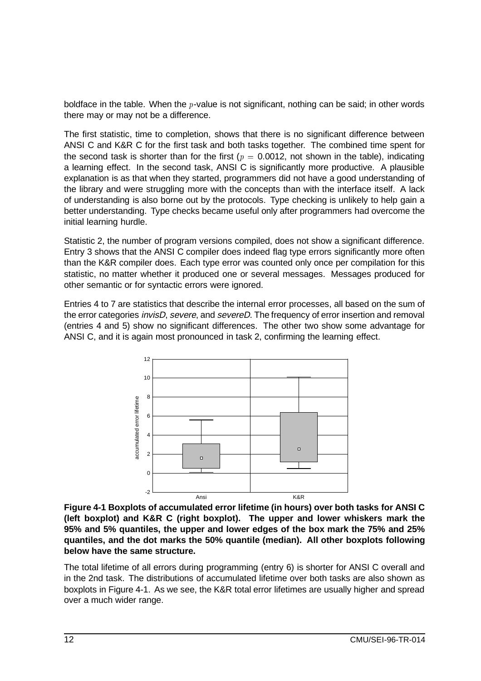boldface in the table. When the  $p$ -value is not significant, nothing can be said; in other words there may or may not be a difference.

The first statistic, time to completion, shows that there is no significant difference between ANSI C and K&R C for the first task and both tasks together. The combined time spent for the second task is shorter than for the first ( $p = 0.0012$ , not shown in the table), indicating a learning effect. In the second task, ANSI C is significantly more productive. A plausible explanation is as that when they started, programmers did not have a good understanding of the library and were struggling more with the concepts than with the interface itself. A lack of understanding is also borne out by the protocols. Type checking is unlikely to help gain a better understanding. Type checks became useful only after programmers had overcome the initial learning hurdle.

Statistic 2, the number of program versions compiled, does not show a significant difference. Entry 3 shows that the ANSI C compiler does indeed flag type errors significantly more often than the K&R compiler does. Each type error was counted only once per compilation for this statistic, no matter whether it produced one or several messages. Messages produced for other semantic or for syntactic errors were ignored.

Entries 4 to 7 are statistics that describe the internal error processes, all based on the sum of the error categories *invisD, severe,* and *severeD*. The frequency of error insertion and removal (entries 4 and 5) show no significant differences. The other two show some advantage for ANSI C, and it is again most pronounced in task 2, confirming the learning effect.



**Figure 4-1 Boxplots of accumulated error lifetime (in hours) over both tasks for ANSI C (left boxplot) and K&R C (right boxplot). The upper and lower whiskers mark the 95% and 5% quantiles, the upper and lower edges of the box mark the 75% and 25% quantiles, and the dot marks the 50% quantile (median). All other boxplots following below have the same structure.**

The total lifetime of all errors during programming (entry 6) is shorter for ANSI C overall and in the 2nd task. The distributions of accumulated lifetime over both tasks are also shown as boxplots in Figure 4-1. As we see, the K&R total error lifetimes are usually higher and spread over a much wider range.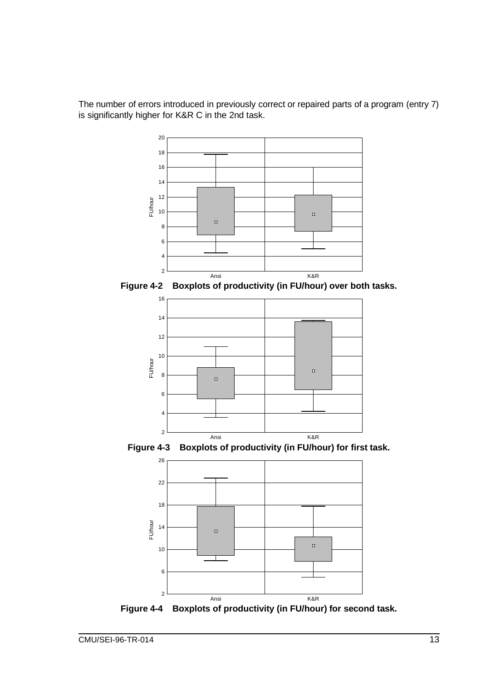The number of errors introduced in previously correct or repaired parts of a program (entry 7) is significantly higher for K&R C in the 2nd task.



**Figure 4-2 Boxplots of productivity (in FU/hour) over both tasks.**







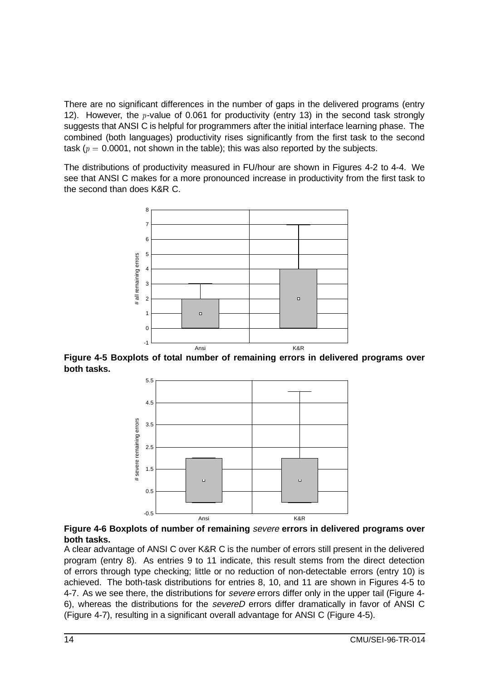There are no significant differences in the number of gaps in the delivered programs (entry 12). However, the *p*-value of 0.061 for productivity (entry 13) in the second task strongly suggests that ANSI C is helpful for programmers after the initial interface learning phase. The combined (both languages) productivity rises significantly from the first task to the second task ( $p = 0.0001$ , not shown in the table); this was also reported by the subjects.

The distributions of productivity measured in FU/hour are shown in Figures 4-2 to 4-4. We see that ANSI C makes for a more pronounced increase in productivity from the first task to the second than does K&R C.



**Figure 4-5 Boxplots of total number of remaining errors in delivered programs over both tasks.**



#### **Figure 4-6 Boxplots of number of remaining** severe **errors in delivered programs over both tasks.**

A clear advantage of ANSI C over K&R C is the number of errors still present in the delivered program (entry 8). As entries 9 to 11 indicate, this result stems from the direct detection of errors through type checking; little or no reduction of non-detectable errors (entry 10) is achieved. The both-task distributions for entries 8, 10, and 11 are shown in Figures 4-5 to 4-7. As we see there, the distributions for severe errors differ only in the upper tail (Figure 4-6), whereas the distributions for the severeD errors differ dramatically in favor of ANSI C (Figure 4-7), resulting in a significant overall advantage for ANSI C (Figure 4-5).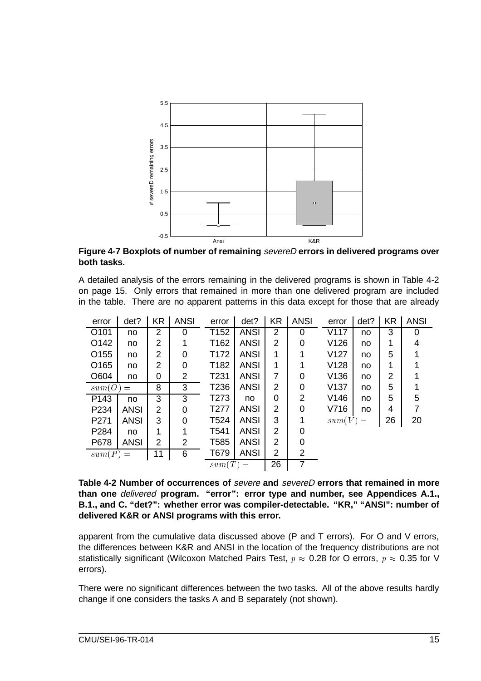

**Figure 4-7 Boxplots of number of remaining** severeD **errors in delivered programs over both tasks.**

A detailed analysis of the errors remaining in the delivered programs is shown in Table 4-2 on page 15. Only errors that remained in more than one delivered program are included in the table. There are no apparent patterns in this data except for those that are already

| error            | det?        | <b>KR</b> | <b>ANSI</b> | error            | det?        | <b>KR</b> | <b>ANSI</b> | error      | det? | <b>KR</b> | <b>ANSI</b>    |
|------------------|-------------|-----------|-------------|------------------|-------------|-----------|-------------|------------|------|-----------|----------------|
| O101             | no          | 2         | 0           | T <sub>152</sub> | <b>ANSI</b> | 2         | 0           | V117       | no   | 3         | 0              |
| O142             | no          | 2         | 1           | T162             | <b>ANSI</b> | 2         | $\Omega$    | V126       | no   | 1         | 4              |
| O <sub>155</sub> | no          | 2         | 0           | T <sub>172</sub> | <b>ANSI</b> | 1         |             | V127       | no   | 5         |                |
| O <sub>165</sub> | no          | 2         | 0           | T182             | <b>ANSI</b> | 1         |             | V128       | no   |           |                |
| O604             | no          | 0         | 2           | T231             | <b>ANSI</b> | 7         | $\Omega$    | V136       | no   | 2         |                |
| sum(O)           | 8<br>$=$    |           | 3           | T236             | <b>ANSI</b> | 2         | $\Omega$    | V137       | no   | 5         |                |
| P143             | no          | 3         | 3           | T <sub>273</sub> | no          | 0         | 2           | V146       | no   | 5         | 5              |
| P234             | <b>ANSI</b> | 2         | $\Omega$    | T <sub>277</sub> | <b>ANSI</b> | 2         | 0           | V716       | no   | 4         | $\overline{7}$ |
| P271             | <b>ANSI</b> | 3         | $\Omega$    | T <sub>524</sub> | <b>ANSI</b> | 3         |             | $sum(V) =$ |      | 26        | 20             |
| P284             | no          |           |             | T541             | <b>ANSI</b> | 2         | 0           |            |      |           |                |
| P678             | <b>ANSI</b> | 2         | 2           | T <sub>585</sub> | <b>ANSI</b> | 2         | ∩           |            |      |           |                |
| $sum(P) =$       |             | 11        | 6           | T679             | <b>ANSI</b> | 2         | 2           |            |      |           |                |
|                  |             |           |             | $sum(T) =$       |             | 26        | 7           |            |      |           |                |

**Table 4-2 Number of occurrences of** severe **and** severeD **errors that remained in more than one** delivered **program. "error": error type and number, see Appendices A.1., B.1., and C. "det?": whether error was compiler-detectable. "KR," "ANSI": number of delivered K&R or ANSI programs with this error.**

apparent from the cumulative data discussed above (P and T errors). For O and V errors, the differences between K&R and ANSI in the location of the frequency distributions are not statistically significant (Wilcoxon Matched Pairs Test,  $p \approx 0.28$  for O errors,  $p \approx 0.35$  for V errors).

There were no significant differences between the two tasks. All of the above results hardly change if one considers the tasks A and B separately (not shown).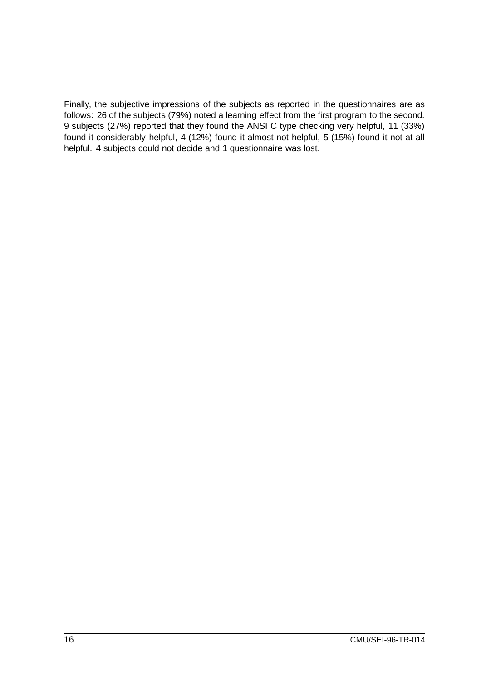Finally, the subjective impressions of the subjects as reported in the questionnaires are as follows: 26 of the subjects (79%) noted a learning effect from the first program to the second. 9 subjects (27%) reported that they found the ANSI C type checking very helpful, 11 (33%) found it considerably helpful, 4 (12%) found it almost not helpful, 5 (15%) found it not at all helpful. 4 subjects could not decide and 1 questionnaire was lost.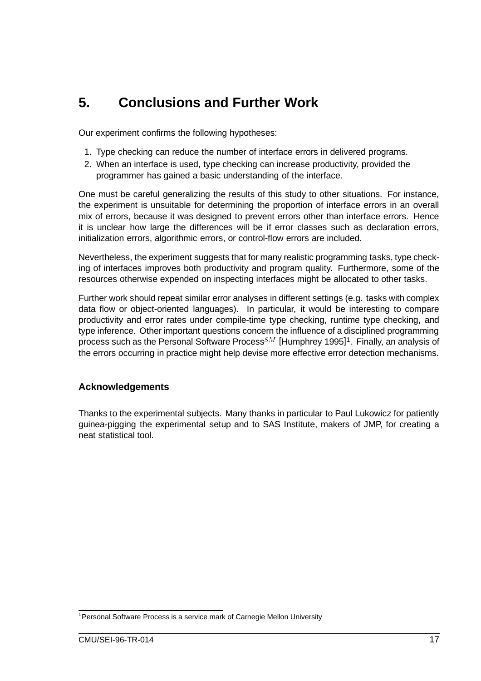## **5. Conclusions and Further Work**

Our experiment confirms the following hypotheses:

- 1. Type checking can reduce the number of interface errors in delivered programs.
- 2. When an interface is used, type checking can increase productivity, provided the programmer has gained a basic understanding of the interface.

One must be careful generalizing the results of this study to other situations. For instance, the experiment is unsuitable for determining the proportion of interface errors in an overall mix of errors, because it was designed to prevent errors other than interface errors. Hence it is unclear how large the differences will be if error classes such as declaration errors, initialization errors, algorithmic errors, or control-flow errors are included.

Nevertheless, the experiment suggests that for many realistic programming tasks, type checking of interfaces improves both productivity and program quality. Furthermore, some of the resources otherwise expended on inspecting interfaces might be allocated to other tasks.

Further work should repeat similar error analyses in different settings (e.g. tasks with complex data flow or object-oriented languages). In particular, it would be interesting to compare productivity and error rates under compile-time type checking, runtime type checking, and type inference. Other important questions concern the influence of a disciplined programming process such as the Personal Software Process  $SM$  [Humphrey 1995]<sup>1</sup>. Finally, an analysis of the errors occurring in practice might help devise more effective error detection mechanisms.

#### **Acknowledgements**

Thanks to the experimental subjects. Many thanks in particular to Paul Lukowicz for patiently guinea-pigging the experimental setup and to SAS Institute, makers of JMP, for creating a neat statistical tool.

<sup>&</sup>lt;sup>1</sup> Personal Software Process is a service mark of Carnegie Mellon University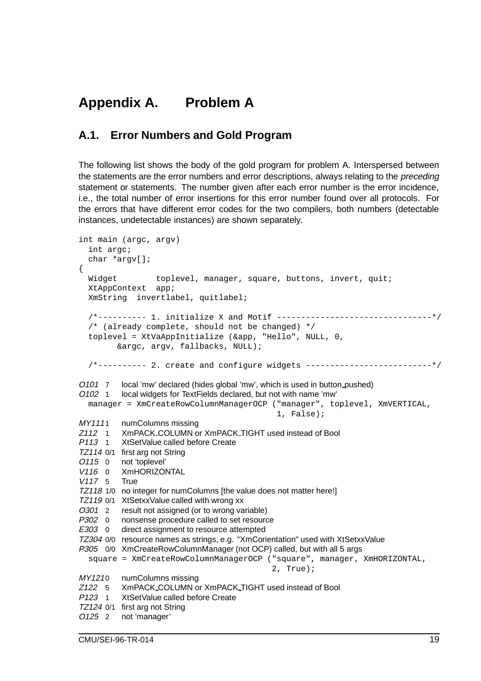## **Appendix A. Problem A**

### **A.1. Error Numbers and Gold Program**

The following list shows the body of the gold program for problem A. Interspersed between the statements are the error numbers and error descriptions, always relating to the *preceding* statement or statements. The number given after each error number is the error incidence, i.e., the total number of error insertions for this error number found over all protocols. For the errors that have different error codes for the two compilers, both numbers (detectable instances, undetectable instances) are shown separately.

```
int main (argc, argv)
  int argc;
  char *argv[];
{
  Widget toplevel, manager, square, buttons, invert, quit;
  XtAppContext app;
  XmString invertlabel, quitlabel;
  /*---------- 1. initialize X and Motif --------------------------------*/
  /* (already complete, should not be changed) */
  toplevel = XtVaAppInitialize (&app, "Hello", NULL, 0,
        &argc, argv, fallbacks, NULL);
  /*---------- 2. create and configure widgets --------------------------*/
O101 7 local 'mw' declared (hides global 'mw', which is used in button pushed)
O102 1 local widgets for TextFields declared, but not with name 'mw'
  manager = XmCreateRowColumnManagerOCP ("manager", toplevel, XmVERTICAL,
                                             1, False);
MY1111 numColumns missing
Z112 1 XmPACK COLUMN or XmPACK TIGHT used instead of Bool
P113 1 XtSetValue called before Create
TZ114 0/1 first arg not String
O115 0 not 'toplevel'
V<sub>116</sub> 0 XmHORIZONTAL
V117 5 True
TZ118 1/0 no integer for numColumns [the value does not matter here!]
TZ119 0/1 XtSetxxValue called with wrong xx
O301 2 result not assigned (or to wrong variable)
P302 0 nonsense procedure called to set resource
E303 0 direct assignment to resource attempted
TZ304 0/0 resource names as strings, e.g. "XmCorientation" used with XtSetxxValue
P305 0/0 XmCreateRowColumnManager (not OCP) called, but with all 5 args
  square = XmCreateRowColumnManagerOCP ("square", manager, XmHORIZONTAL,
                                            2, True);
MY1210 numColumns missing
Z122 5 XmPACK COLUMN or XmPACK TIGHT used instead of Bool
P123 1 XtSetValue called before Create
TZ124 0/1 first arg not String
O125 2 not 'manager'
```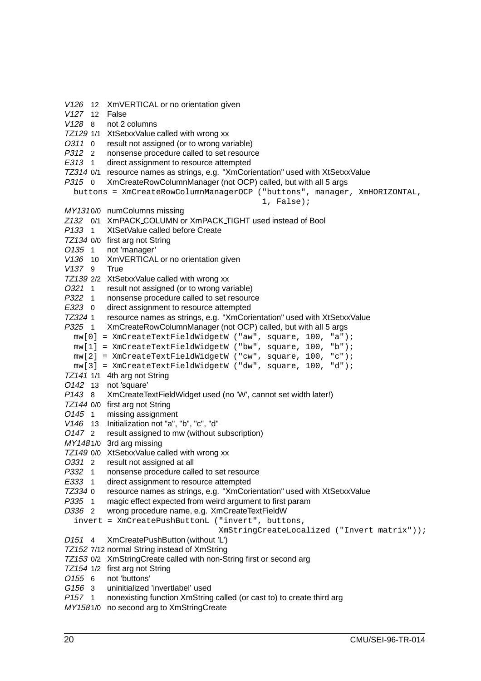V126 12 XmVERTICAL or no orientation given V127 12 False V128 8 not 2 columns TZ129 1/1 XtSetxxValue called with wrong xx O311 0 result not assigned (or to wrong variable) P312 2 nonsense procedure called to set resource E313 1 direct assignment to resource attempted TZ314 0/1 resource names as strings, e.g. "XmCorientation" used with XtSetxxValue P315 0 XmCreateRowColumnManager (not OCP) called, but with all 5 args buttons = XmCreateRowColumnManagerOCP ("buttons", manager, XmHORIZONTAL, 1, False); MY131 0/0 numColumns missing Z132 0/1 XmPACK COLUMN or XmPACK TIGHT used instead of Bool P133 1 XtSetValue called before Create TZ134 0/0 first arg not String O135 1 not 'manager' V136 10 XmVERTICAL or no orientation given V137 9 True TZ139 2/2 XtSetxxValue called with wrong xx O321 1 result not assigned (or to wrong variable) P322 1 nonsense procedure called to set resource<br>E323 0 direct assignment to resource attempted direct assignment to resource attempted TZ324 1 resource names as strings, e.g. "XmCorientation" used with XtSetxxValue P325 1 XmCreateRowColumnManager (not OCP) called, but with all 5 args mw[0] = XmCreateTextFieldWidgetW ("aw", square, 100, "a"); mw[1] = XmCreateTextFieldWidgetW ("bw", square, 100, "b"); mw[2] = XmCreateTextFieldWidgetW ("cw", square, 100, "c"); mw[3] = XmCreateTextFieldWidgetW ("dw", square, 100, "d"); TZ141 1/1 4th arg not String O142 13 not 'square' P143 8 XmCreateTextFieldWidget used (no 'W', cannot set width later!) TZ144 0/0 first arg not String O145 1 missing assignment V146 13 Initialization not "a", "b", "c", "d" O147 2 result assigned to mw (without subscription) MY148 1/0 3rd arg missing TZ149 0/0 XtSetxxValue called with wrong xx O331 2 result not assigned at all P332 1 nonsense procedure called to set resource E333 1 direct assignment to resource attempted TZ334 0 resource names as strings, e.g. "XmCorientation" used with XtSetxxValue P335 1 magic effect expected from weird argument to first param D336 2 wrong procedure name, e.g. XmCreateTextFieldW invert = XmCreatePushButtonL ("invert", buttons, XmStringCreateLocalized ("Invert matrix")); D151 4 XmCreatePushButton (without 'L') TZ152 7/12 normal String instead of XmString TZ153 0/2 XmStringCreate called with non-String first or second arg TZ154 1/2 first arg not String O155 6 not 'buttons' G156 3 uninitialized 'invertlabel' used P157 1 nonexisting function XmString called (or cast to) to create third arg MY158 1/0 no second arg to XmStringCreate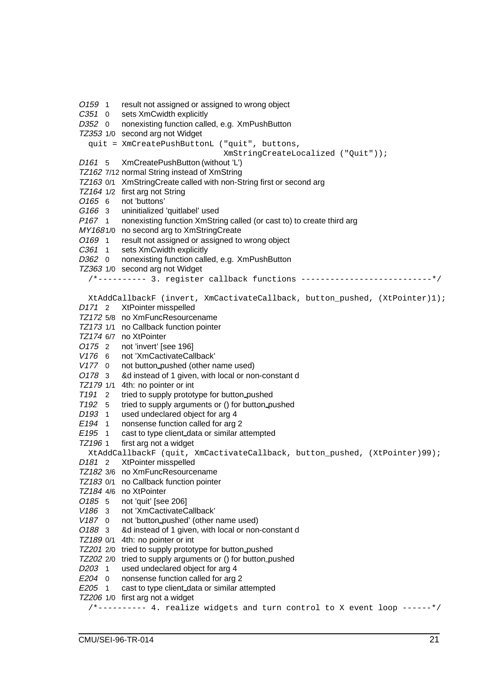O159 1 result not assigned or assigned to wrong object C351 0 sets XmCwidth explicitly D352 0 nonexisting function called, e.g. XmPushButton TZ353 1/0 second arg not Widget quit = XmCreatePushButtonL ("quit", buttons, XmStringCreateLocalized ("Quit")); D161 5 XmCreatePushButton (without 'L') TZ162 7/12 normal String instead of XmString TZ163 0/1 XmStringCreate called with non-String first or second arg TZ164 1/2 first arg not String O165 6 not 'buttons' G166 3 uninitialized 'quitlabel' used P167 1 nonexisting function XmString called (or cast to) to create third arg MY1681/0 no second arg to XmStringCreate O169 1 result not assigned or assigned to wrong object C361 1 sets XmCwidth explicitly D362 0 nonexisting function called, e.g. XmPushButton TZ363 1/0 second arg not Widget /\*---------- 3. register callback functions ---------------------------\*/ XtAddCallbackF (invert, XmCactivateCallback, button\_pushed, (XtPointer)1); D171 2 XtPointer misspelled TZ172 5/8 no XmFuncResourcename TZ173 1/1 no Callback function pointer TZ174 6/7 no XtPointer O175 2 not 'invert' [see 196] V176 6 not 'XmCactivateCallback' V177 0 not button pushed (other name used) O178 3 &d instead of 1 given, with local or non-constant d TZ179 1/1 4th: no pointer or int T191 2 tried to supply prototype for button pushed T192 5 tried to supply arguments or () for button pushed<br>D193 1 used undeclared object for arg 4 used undeclared object for arg 4 E194 1 nonsense function called for arg 2 E195 1 cast to type client data or similar attempted TZ196 1 first arg not a widget XtAddCallbackF (quit, XmCactivateCallback, button\_pushed, (XtPointer)99); D<sub>181</sub> 2 XtPointer misspelled TZ182 3/6 no XmFuncResourcename TZ183 0/1 no Callback function pointer TZ184 4/6 no XtPointer O185 5 not 'quit' [see 206] V186 3 not 'XmCactivateCallback' V187 0 not 'button\_pushed' (other name used) O188 3 &d instead of 1 given, with local or non-constant d TZ189 0/1 4th: no pointer or int TZ201 2/0 tried to supply prototype for button pushed TZ202 2/0 tried to supply arguments or () for button pushed D203 1 used undeclared object for arg 4 E204 0 nonsense function called for arg 2 E205 1 cast to type client data or similar attempted TZ206 1/0 first arg not a widget  $/*$ --------- 4. realize widgets and turn control to X event loop ------\*/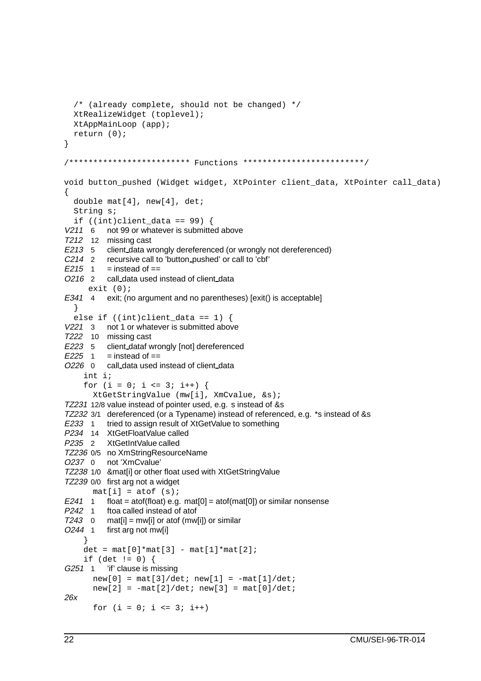```
/* (already complete, should not be changed) */
  XtRealizeWidget (toplevel);
  XtAppMainLoop (app);
  return (0);
}
/************************* Functions *************************/
void button_pushed (Widget widget, XtPointer client_data, XtPointer call_data)
\left\{ \right.double mat[4], new[4], det;
  String s;
  if ((int)client_data == 99) {
V211 6 not 99 or whatever is submitted above
T212 12 missing cast
E213 5 client_data wrongly dereferenced (or wrongly not dereferenced)
C214 2 recursive call to 'button pushed' or call to 'cbf'
E215 1 = instead of ==
O216 2 call_data used instead of client_data
      exit (0);
E341 4 exit; (no argument and no parentheses) [exit() is acceptable]
  }
  else if ((int)client data == 1) {
V221 3 not 1 or whatever is submitted above
T222 10 missing cast
E223 5 client dataf wrongly [not] dereferenced
E225 \quad 1 \quad = instead of ==O226 0 call_data used instead of client_data
    int i;
    for (i = 0; i \le 3; i++) {
       XtGetStringValue (mw[i], XmCvalue, &s);
TZ231 12/8 value instead of pointer used, e.g. s instead of &s
TZ232 3/1 dereferenced (or a Typename) instead of referenced, e.g. *s instead of &s
E233 1 tried to assign result of XtGetValue to something
P234 14 XtGetFloatValue called
P235 2 XtGetIntValue called
TZ236 0/5 no XmStringResourceName
O237 0 not 'XmCvalue'
TZ238 1/0 &mat[i] or other float used with XtGetStringValue
TZ239 0/0 first arg not a widget
      mat[i] = atof(s);E241 1 float = atof(float) e.g. mat[0] = atof(mat[0]) or similar nonsense
P<sub>242</sub> 1 ftoa called instead of atof
T243 0 mat[i] = mw[i] or atof (mw[i]) or similar
O244 1 first arg not mw[i]
     }
    det = mat[0]*mat[3] - mat[1]*mat[2];if (det != 0) {
G251 1 'if' clause is missing
       new[0] = mat[3]/det; new[1] = -mat[1]/det;new[2] = -mat[2]/det; new[3] = mat[0]/det;26x
       for (i = 0; i \le 3; i++)
```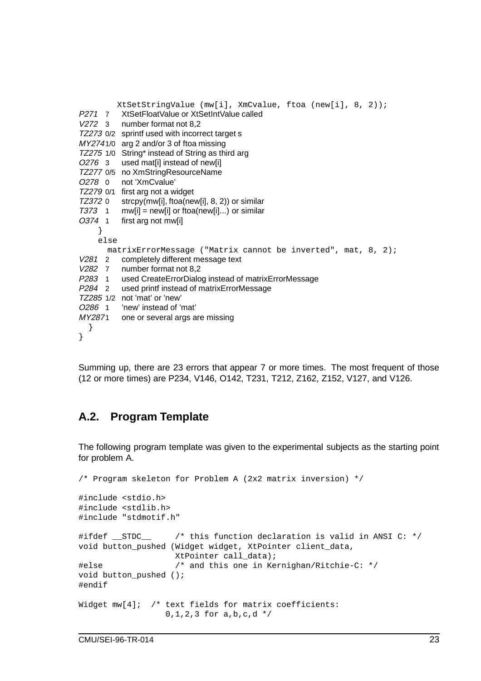|               |      | $XtSetStringValue (mw[i], XmCvalue, ftoa (new[i], 8, 2));$   |  |  |  |  |  |  |  |  |
|---------------|------|--------------------------------------------------------------|--|--|--|--|--|--|--|--|
|               |      | P271 7 XtSetFloatValue or XtSetIntValue called               |  |  |  |  |  |  |  |  |
| V272 3        |      | number format not 8,2                                        |  |  |  |  |  |  |  |  |
|               |      | TZ273 0/2 sprintf used with incorrect target s               |  |  |  |  |  |  |  |  |
|               |      | MY2741/0 arg 2 and/or 3 of ftoa missing                      |  |  |  |  |  |  |  |  |
|               |      | TZ275 1/0 String* instead of String as third arg             |  |  |  |  |  |  |  |  |
| O276 3        |      | used mat[i] instead of new[i]                                |  |  |  |  |  |  |  |  |
| TZ277 0/5     |      | no XmStringResourceName                                      |  |  |  |  |  |  |  |  |
| O278 0        |      | not 'XmCvalue'                                               |  |  |  |  |  |  |  |  |
| TZ279 0/1     |      | first arg not a widget                                       |  |  |  |  |  |  |  |  |
| TZ372 0       |      | strcpy(mw[i], ftoa(new[i], 8, 2)) or similar                 |  |  |  |  |  |  |  |  |
| <b>T373</b> 1 |      | $m(w[i] = new[i]$ or ftoa(new[i]) or similar                 |  |  |  |  |  |  |  |  |
| O374 1        |      | first arg not mw[i]                                          |  |  |  |  |  |  |  |  |
| }             |      |                                                              |  |  |  |  |  |  |  |  |
|               | else |                                                              |  |  |  |  |  |  |  |  |
|               |      | matrixErrorMessage ("Matrix cannot be inverted", mat, 8, 2); |  |  |  |  |  |  |  |  |
| V281 2        |      | completely different message text                            |  |  |  |  |  |  |  |  |
| V282 7        |      | number format not 8,2                                        |  |  |  |  |  |  |  |  |
| P283 1        |      | used CreateErrorDialog instead of matrixErrorMessage         |  |  |  |  |  |  |  |  |
| P284 2        |      | used printf instead of matrixErrorMessage                    |  |  |  |  |  |  |  |  |
|               |      | TZ285 1/2 not 'mat' or 'new'                                 |  |  |  |  |  |  |  |  |
| O286 1        |      | 'new' instead of 'mat'                                       |  |  |  |  |  |  |  |  |
| MY2871        |      | one or several args are missing                              |  |  |  |  |  |  |  |  |
| }             |      |                                                              |  |  |  |  |  |  |  |  |
| }             |      |                                                              |  |  |  |  |  |  |  |  |
|               |      |                                                              |  |  |  |  |  |  |  |  |

Summing up, there are 23 errors that appear 7 or more times. The most frequent of those (12 or more times) are P234, V146, O142, T231, T212, Z162, Z152, V127, and V126.

### **A.2. Program Template**

The following program template was given to the experimental subjects as the starting point for problem A.

```
/* Program skeleton for Problem A (2x2 matrix inversion) */
#include <stdio.h>
#include <stdlib.h>
#include "stdmotif.h"
#ifdef STDC /* this function declaration is valid in ANSI C: */
void button pushed (Widget widget, XtPointer client data,
                   XtPointer call_data);
#else /* and this one in Kernighan/Ritchie-C: */
void button_pushed ();
#endif
Widget mw[4]; /* text fields for matrix coefficients:
                 0,1,2,3 for a,b,c,d */
```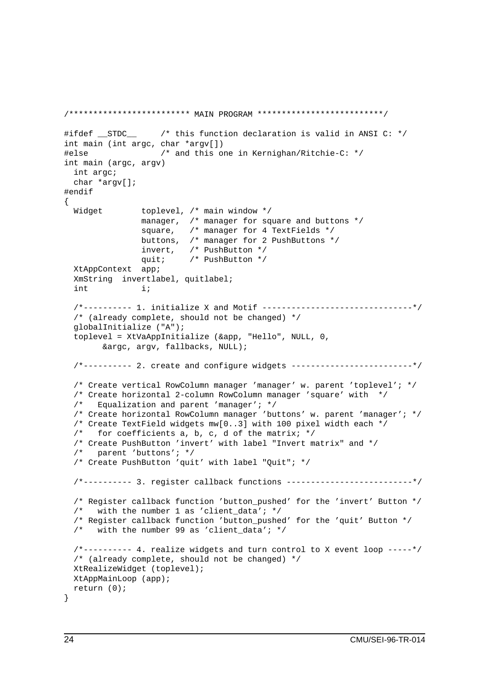```
/************************* MAIN PROGRAM **************************/
#ifdef STDC /* this function declaration is valid in ANSI C: */
int main (int argc, char *argv[])
#else /* and this one in Kernighan/Ritchie-C: */
int main (argc, argv)
 int argc;
 char *argv[];
#endif
{
 Widget toplevel, /* main window */manager, /* manager for square and buttons */
               square, /* manager for 4 TextFields */
               buttons, /* manager for 2 PushButtons */
               invert, /* PushButton */
               quit; /* PushButton */
 XtAppContext app;
 XmString invertlabel, quitlabel;
 int i;
  /*---------- 1. initialize X and Motif -------------------------------*/
  /* (already complete, should not be changed) */
 globalInitialize ("A");
  toplevel = XtVaAppInitialize (&app, "Hello", NULL, 0,
       &argc, argv, fallbacks, NULL);
  /*---------- 2. create and configure widgets -------------------------*/
  /* Create vertical RowColumn manager 'manager' w. parent 'toplevel'; */
  /* Create horizontal 2-column RowColumn manager 'square' with */
 /* Equalization and parent 'manager'; */
  /* Create horizontal RowColumn manager 'buttons' w. parent 'manager'; */
  /* Create TextField widgets mw[0..3] with 100 pixel width each */
 /* for coefficients a, b, c, d of the matrix; *//* Create PushButton 'invert' with label "Invert matrix" and */
 /* parent 'buttons'; */
 /* Create PushButton 'quit' with label "Quit"; */
  /*---------- 3. register callback functions --------------------------*/
 /* Register callback function 'button_pushed' for the 'invert' Button */
 /* with the number 1 as 'client data'; */
 /* Register callback function 'button_pushed' for the 'quit' Button */
 /* with the number 99 as 'client_data'; */
  /*--------- 4. realize widgets and turn control to X event loop -----*/
 /* (already complete, should not be changed) */
 XtRealizeWidget (toplevel);
 XtAppMainLoop (app);
 return (0);
}
```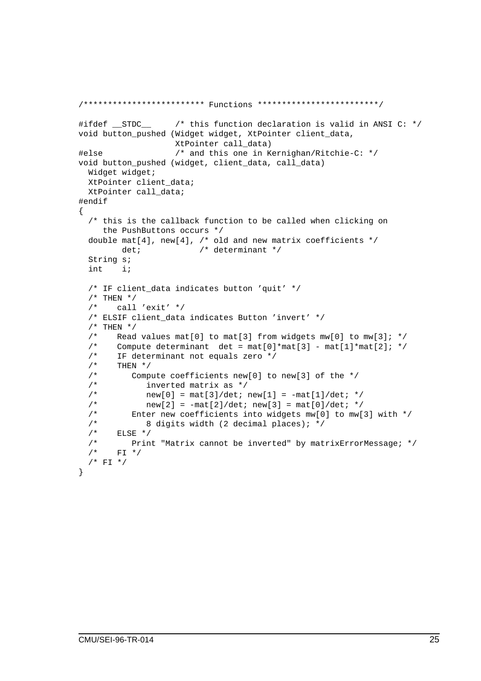```
/************************* Functions *************************/
#ifdef __STDC__ /* this function declaration is valid in ANSI C: */
void button_pushed (Widget widget, XtPointer client_data,
                  XtPointer call_data)
#else /* and this one in Kernighan/Ritchie-C: */
void button_pushed (widget, client_data, call_data)
 Widget widget;
 XtPointer client_data;
 XtPointer call_data;
#endif
{
 /* this is the callback function to be called when clicking on
    the PushButtons occurs */
 double mat[4], new[4], /* old and new matrix coefficients */
        det; /* determinant */String s;
 int i;
 /* IF client data indicates button 'quit' */
 /* THEN *//* call 'exit' */
 /* ELSIF client_data indicates Button 'invert' */
 /* THEN *//* Read values mat[0] to mat[3] from widgets mw[0] to mw[3]; */
 /* Compute determinant det = mat[0]*mat[3] - mat[1]*mat[2]; */* IF determinant not equals zero */
 /* THEN *//* Compute coefficients new[0] to new[3] of the */
 /* inverted matrix as */
 /* new[0] = mat[3]/det; new[1] = -mat[1]/det; */
 /* new[2] = -mat[2]/det; new[3] = mat[0]/det; */
 /* Enter new coefficients into widgets mw[0] to mw[3] with */
 /* 8 digits width (2 decimal places); */
 /* ELSE */
 /* Print "Matrix cannot be inverted" by matrixErrorMessage; */
 /* FI */
 /* FI */}
```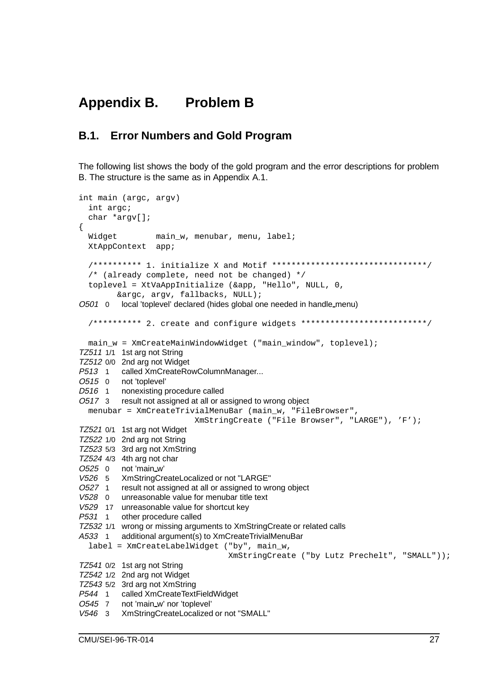## **Appendix B. Problem B**

### **B.1. Error Numbers and Gold Program**

The following list shows the body of the gold program and the error descriptions for problem B. The structure is the same as in Appendix A.1.

```
int main (argc, argv)
  int argc;
  char *argv[];
{
  Widget main w, menubar, menu, label;
  XtAppContext app;
  /********** 1. initialize X and Motif ********************************/
  /* (already complete, need not be changed) */
  toplevel = XtVaAppInitialize (&app, "Hello", NULL, 0,
         &argc, argv, fallbacks, NULL);
O501 0 local 'toplevel' declared (hides global one needed in handle menu)
  /********** 2. create and configure widgets **************************/
 main w = XmCreateMainWindowWidget ("main window", toplevel);
TZ511 1/1 1st arg not String
TZ512 0/0 2nd arg not Widget
P513 1 called XmCreateRowColumnManager...
O515 0 not 'toplevel'
D516 1 nonexisting procedure called
O517 3 result not assigned at all or assigned to wrong object
  menubar = XmCreateTrivialMenuBar (main_w, "FileBrowser",
                           XmStringCreate ("File Browser", "LARGE"), 'F');
TZ521 0/1 1st arg not Widget
TZ522 1/0 2nd arg not String
TZ523 5/3 3rd arg not XmString
TZ524 4/3 4th arg not char
O525 0 not 'main w'
V526 5 XmStringCreateLocalized or not "LARGE"
O527 1 result not assigned at all or assigned to wrong object
V528 0 unreasonable value for menubar title text
V529 17 unreasonable value for shortcut key
P531 1 other procedure called
TZ532 1/1 wrong or missing arguments to XmStringCreate or related calls
A533 1 additional argument(s) to XmCreateTrivialMenuBar
  label = XmCreateLabelWidget ("by", main_w,
                                  XmStringCreate ("by Lutz Prechelt", "SMALL"));
TZ541 0/2 1st arg not String
TZ542 1/2 2nd arg not Widget
TZ543 5/2 3rd arg not XmString
P544 1 called XmCreateTextFieldWidget
O545 7 not 'main w' nor 'toplevel'
V546 3 XmStringCreateLocalized or not "SMALL"
```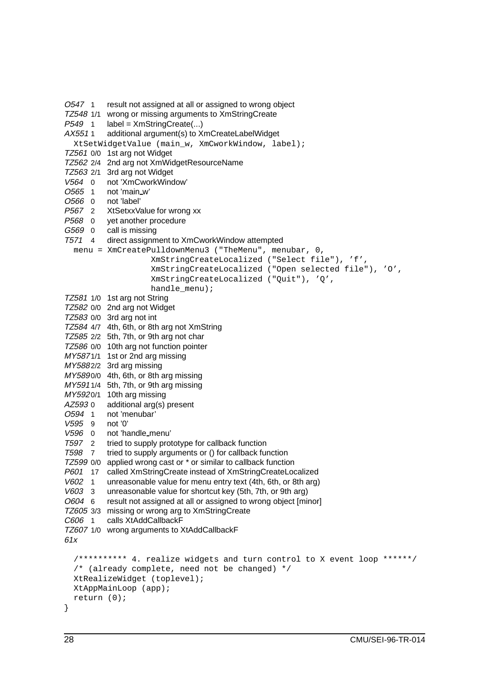O547 1 result not assigned at all or assigned to wrong object TZ548 1/1 wrong or missing arguments to XmStringCreate P549 1 label = XmStringCreate(...) AX551 1 additional argument(s) to XmCreateLabelWidget XtSetWidgetValue (main\_w, XmCworkWindow, label); TZ561 0/0 1st arg not Widget TZ562 2/4 2nd arg not XmWidgetResourceName TZ563 2/1 3rd arg not Widget V564 0 not 'XmCworkWindow' O565 1 not 'main w' O566 0 not 'label' P567 2 XtSetxxValue for wrong xx P568 0 yet another procedure G569 0 call is missing T571 4 direct assignment to XmCworkWindow attempted menu = XmCreatePulldownMenu3 ("TheMenu", menubar, 0, XmStringCreateLocalized ("Select file"), 'f', XmStringCreateLocalized ("Open selected file"), 'O', XmStringCreateLocalized ("Quit"), 'Q', handle\_menu); TZ581 1/0 1st arg not String TZ582 0/0 2nd arg not Widget TZ583 0/0 3rd arg not int TZ584 4/7 4th, 6th, or 8th arg not XmString TZ585 2/2 5th, 7th, or 9th arg not char TZ586 0/0 10th arg not function pointer MY587 1/1 1st or 2nd arg missing MY5882/2 3rd arg missing MY5890/0 4th, 6th, or 8th arg missing MY591 1/4 5th, 7th, or 9th arg missing MY5920/1 10th arg missing<br>AZ593 0 additional arg(s)  $AZ5930$  additional arg(s) present<br> $O.594$  1 not 'menubar' not 'menubar' V595 9 not '0' V596 0 not 'handle menu' T597 2 tried to supply prototype for callback function T598 7 tried to supply arguments or () for callback function TZ599 0/0 applied wrong cast or \* or similar to callback function P601 17 called XmStringCreate instead of XmStringCreateLocalized V602 1 unreasonable value for menu entry text (4th, 6th, or 8th arg) V603 3 unreasonable value for shortcut key (5th, 7th, or 9th arg) O604 6 result not assigned at all or assigned to wrong object [minor] TZ605 3/3 missing or wrong arg to XmStringCreate C606 1 calls XtAddCallbackF TZ607 1/0 wrong arguments to XtAddCallbackF 61x /\*\*\*\*\*\*\*\*\*\* 4. realize widgets and turn control to X event loop \*\*\*\*\*\*/ /\* (already complete, need not be changed) \*/ XtRealizeWidget (toplevel); XtAppMainLoop (app); return (0); }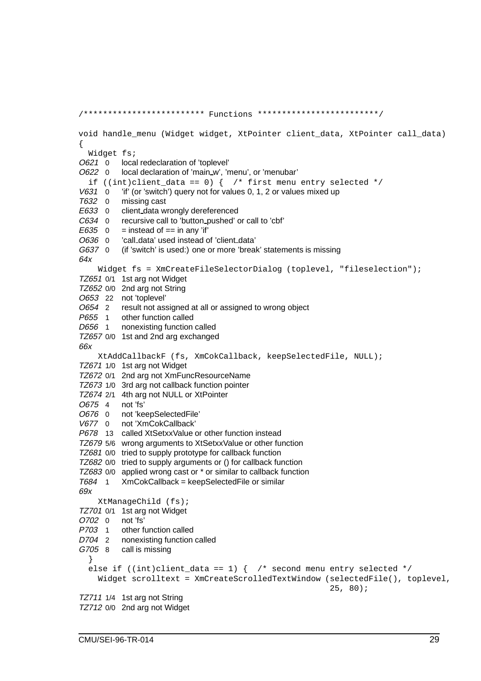/\*\*\*\*\*\*\*\*\*\*\*\*\*\*\*\*\*\*\*\*\*\*\*\*\* Functions \*\*\*\*\*\*\*\*\*\*\*\*\*\*\*\*\*\*\*\*\*\*\*\*\*/ void handle\_menu (Widget widget, XtPointer client\_data, XtPointer call\_data) { Widget fs; O621 0 local redeclaration of 'toplevel' O622 0 local declaration of 'main\_w', 'menu', or 'menubar' if ((int)client\_data == 0) {  $/*$  first menu entry selected \*/ V631 0 'if' (or 'switch') query not for values 0, 1, 2 or values mixed up T632 0 missing cast E633 0 client\_data wrongly dereferenced C634 0 recursive call to 'button pushed' or call to 'cbf'  $E635$  0 = instead of == in any 'if' O636 0 'call data' used instead of 'client data' G637 0 (if 'switch' is used:) one or more 'break' statements is missing 64x Widget fs = XmCreateFileSelectorDialog (toplevel, "fileselection"); TZ651 0/1 1st arg not Widget TZ652 0/0 2nd arg not String O653 22 not 'toplevel' O654 2 result not assigned at all or assigned to wrong object P655 1 other function called D656 1 nonexisting function called TZ657 0/0 1st and 2nd arg exchanged 66x XtAddCallbackF (fs, XmCokCallback, keepSelectedFile, NULL); TZ671 1/0 1st arg not Widget TZ672 0/1 2nd arg not XmFuncResourceName TZ673 1/0 3rd arg not callback function pointer TZ674 2/1 4th arg not NULL or XtPointer O675 4 not 'fs' O676 0 not 'keepSelectedFile' V677 0 not 'XmCokCallback' P678 13 called XtSetxxValue or other function instead TZ679 5/6 wrong arguments to XtSetxxValue or other function TZ681 0/0 tried to supply prototype for callback function TZ682 0/0 tried to supply arguments or () for callback function TZ683 0/0 applied wrong cast or \* or similar to callback function T684 1 XmCokCallback = keepSelectedFile or similar 69x XtManageChild (fs); TZ701 0/1 1st arg not Widget O702 0 not 'fs' P703 1 other function called D704 2 nonexisting function called G705 8 call is missing } else if  $((int)client_data == 1) { /* second menu entry selected */}$ Widget scrolltext = XmCreateScrolledTextWindow (selectedFile(), toplevel, 25, 80); TZ711 1/4 1st arg not String TZ712 0/0 2nd arg not Widget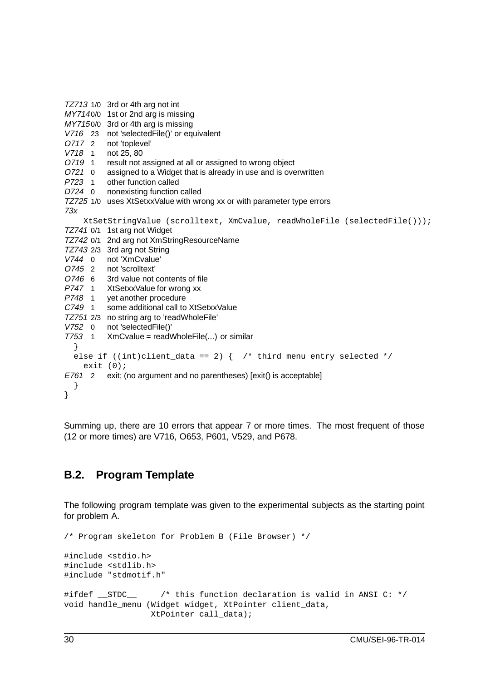TZ713 1/0 3rd or 4th arg not int MY7140/0 1st or 2nd arg is missing MY7150/0 3rd or 4th arg is missing V716 23 not 'selectedFile()' or equivalent O717 2 not 'toplevel' V718 1 not 25, 80 O719 1 result not assigned at all or assigned to wrong object O721 0 assigned to a Widget that is already in use and is overwritten P723 1 other function called D724 0 nonexisting function called TZ725 1/0 uses XtSetxxValue with wrong xx or with parameter type errors 73x XtSetStringValue (scrolltext, XmCvalue, readWholeFile (selectedFile())); TZ741 0/1 1st arg not Widget TZ742 0/1 2nd arg not XmStringResourceName TZ743 2/3 3rd arg not String V744 0 not 'XmCvalue' O745 2 not 'scrolltext' O746 6 3rd value not contents of file P747 1 XtSetxxValue for wrong xx P748 1 yet another procedure<br>C749 1 some additional call to some additional call to XtSetxxValue TZ751 2/3 no string arg to 'readWholeFile' V752 0 not 'selectedFile()'  $T753$  1 XmCvalue = readWholeFile $(...)$  or similar } else if ((int)client\_data == 2) { /\* third menu entry selected \*/ exit  $(0)$ ; E761 2 exit; (no argument and no parentheses) [exit() is acceptable] } }

Summing up, there are 10 errors that appear 7 or more times. The most frequent of those (12 or more times) are V716, O653, P601, V529, and P678.

### **B.2. Program Template**

The following program template was given to the experimental subjects as the starting point for problem A.

```
/* Program skeleton for Problem B (File Browser) */
#include <stdio.h>
#include <stdlib.h>
#include "stdmotif.h"
#ifdef __STDC__ /* this function declaration is valid in ANSI C: */
void handle_menu (Widget widget, XtPointer client_data,
                 XtPointer call_data);
```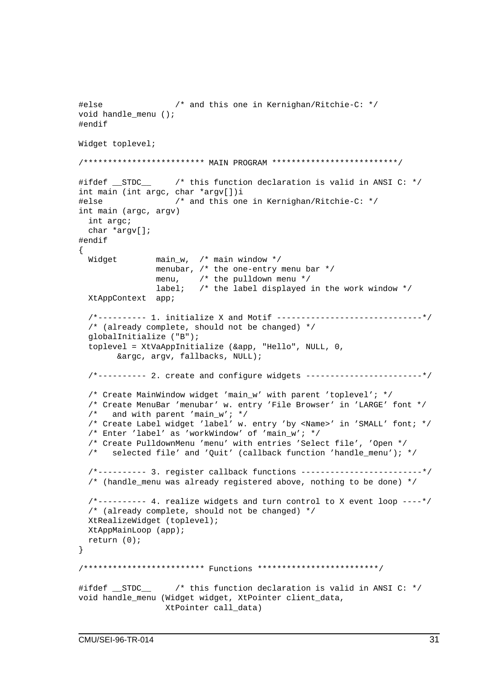```
#else /* and this one in Kernighan/Ritchie-C: */
void handle_menu ();
#endif
Widget toplevel;
/************************* MAIN PROGRAM **************************/
#ifdef __STDC__ /* this function declaration is valid in ANSI C: */
int main (int argc, char *argv[])i
#else /* and this one in Kernighan/Ritchie-C: */
int main (argc, argv)
 int argc;
 char *argv[];
#endif
{
 Widget main_w, /* main window */
               menubar, /* the one-entry menu bar */menu, /* the pulldown menu */
               label; \prime* the label displayed in the work window */
 XtAppContext app;
  /*---------- 1. initialize X and Motif ------------------------------*/
 /* (already complete, should not be changed) */
 globalInitialize ("B");
 toplevel = XtVaAppInitialize (&app, "Hello", NULL, 0,
       &argc, argv, fallbacks, NULL);
 /*---------- 2. create and configure widgets ------------------------*/
  /* Create MainWindow widget 'main_w' with parent 'toplevel'; */
 /* Create MenuBar 'menubar' w. entry 'File Browser' in 'LARGE' font */
 /* and with parent 'main w'; */
  /* Create Label widget 'label' w. entry 'by <Name>' in 'SMALL' font; */
 /* Enter 'label' as 'workWindow' of 'main_w'; */
 /* Create PulldownMenu 'menu' with entries 'Select file', 'Open */
 /* selected file' and 'Quit' (callback function 'handle menu'); */
  /*---------- 3. register callback functions -------------------------*/
 /* (handle_menu was already registered above, nothing to be done) */
  /*---------- 4. realize widgets and turn control to X event loop ----*/
 /* (already complete, should not be changed) */
 XtRealizeWidget (toplevel);
 XtAppMainLoop (app);
 return (0);
}
/************************* Functions *************************/
#ifdef __STDC__ /* this function declaration is valid in ANSI C: */
void handle menu (Widget widget, XtPointer client data,
                 XtPointer call_data)
```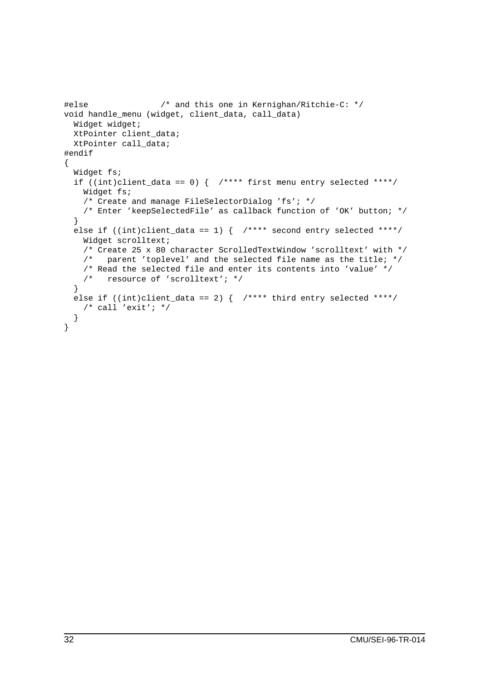```
#else /* and this one in Kernighan/Ritchie-C: */
void handle_menu (widget, client_data, call_data)
 Widget widget;
 XtPointer client data;
 XtPointer call_data;
#endif
{
 Widget fs;
 if ((int)client_data == 0) { /**** first menu entry selected ****/
   Widget fs;
   /* Create and manage FileSelectorDialog 'fs'; */
   /* Enter 'keepSelectedFile' as callback function of 'OK' button; */
  }
 else if ((int)clint_data == 1) \{ /**** second entry selected ****/
   Widget scrolltext;
    /* Create 25 x 80 character ScrolledTextWindow 'scrolltext' with */
   /* parent 'toplevel' and the selected file name as the title; */
    /* Read the selected file and enter its contents into 'value' */
   /* resource of 'scrolltext'; */
  }
 else if ((int)client data == 2) { /**** third entry selected ****/
   /* call 'exit'; */
  }
}
```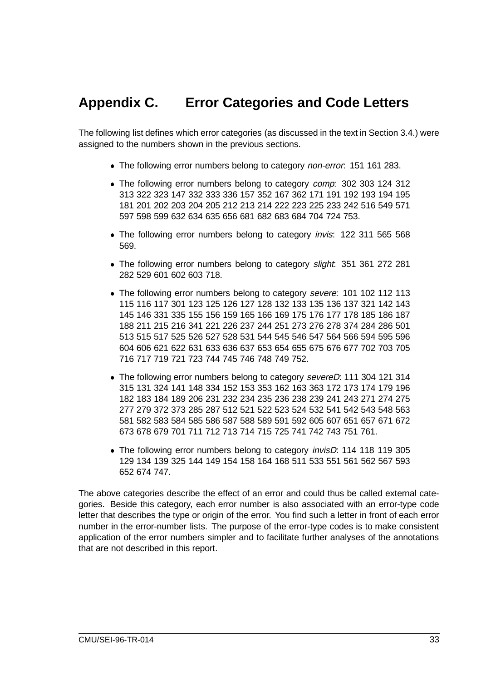## **Appendix C. Error Categories and Code Letters**

The following list defines which error categories (as discussed in the text in Section 3.4.) were assigned to the numbers shown in the previous sections.

- The following error numbers belong to category *non-error*: 151 161 283.
- The following error numbers belong to category *comp*: 302 303 124 312 313 322 323 147 332 333 336 157 352 167 362 171 191 192 193 194 195 181 201 202 203 204 205 212 213 214 222 223 225 233 242 516 549 571 597 598 599 632 634 635 656 681 682 683 684 704 724 753.
- The following error numbers belong to category *invis*: 122 311 565 568 569.
- The following error numbers belong to category slight: 351 361 272 281 282 529 601 602 603 718.
- The following error numbers belong to category severe: 101 102 112 113 115 116 117 301 123 125 126 127 128 132 133 135 136 137 321 142 143 145 146 331 335 155 156 159 165 166 169 175 176 177 178 185 186 187 188 211 215 216 341 221 226 237 244 251 273 276 278 374 284 286 501 513 515 517 525 526 527 528 531 544 545 546 547 564 566 594 595 596 604 606 621 622 631 633 636 637 653 654 655 675 676 677 702 703 705 716 717 719 721 723 744 745 746 748 749 752.
- The following error numbers belong to category severeD: 111 304 121 314 315 131 324 141 148 334 152 153 353 162 163 363 172 173 174 179 196 182 183 184 189 206 231 232 234 235 236 238 239 241 243 271 274 275 277 279 372 373 285 287 512 521 522 523 524 532 541 542 543 548 563 581 582 583 584 585 586 587 588 589 591 592 605 607 651 657 671 672 673 678 679 701 711 712 713 714 715 725 741 742 743 751 761.
- The following error numbers belong to category *invisD*: 114 118 119 305 129 134 139 325 144 149 154 158 164 168 511 533 551 561 562 567 593 652 674 747.

The above categories describe the effect of an error and could thus be called external categories. Beside this category, each error number is also associated with an error-type code letter that describes the type or origin of the error. You find such a letter in front of each error number in the error-number lists. The purpose of the error-type codes is to make consistent application of the error numbers simpler and to facilitate further analyses of the annotations that are not described in this report.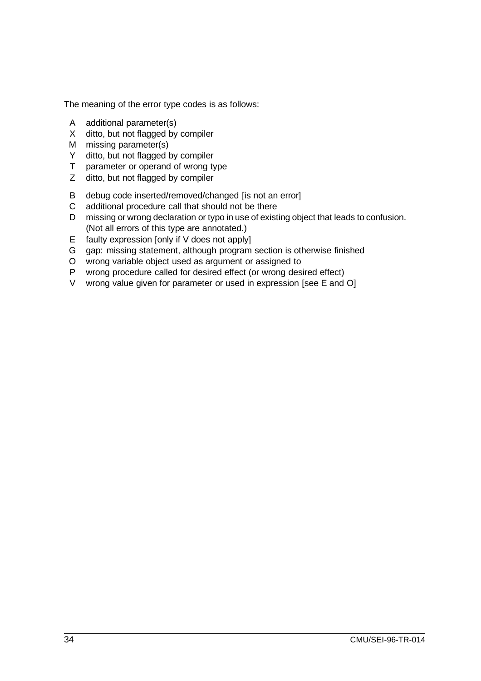The meaning of the error type codes is as follows:

- A additional parameter(s)
- X ditto, but not flagged by compiler
- M missing parameter(s)
- Y ditto, but not flagged by compiler
- T parameter or operand of wrong type
- Z ditto, but not flagged by compiler
- B debug code inserted/removed/changed [is not an error]
- C additional procedure call that should not be there
- D missing or wrong declaration or typo in use of existing object that leads to confusion. (Not all errors of this type are annotated.)
- E faulty expression [only if V does not apply]
- G gap: missing statement, although program section is otherwise finished
- O wrong variable object used as argument or assigned to
- P wrong procedure called for desired effect (or wrong desired effect)
- V wrong value given for parameter or used in expression [see E and O]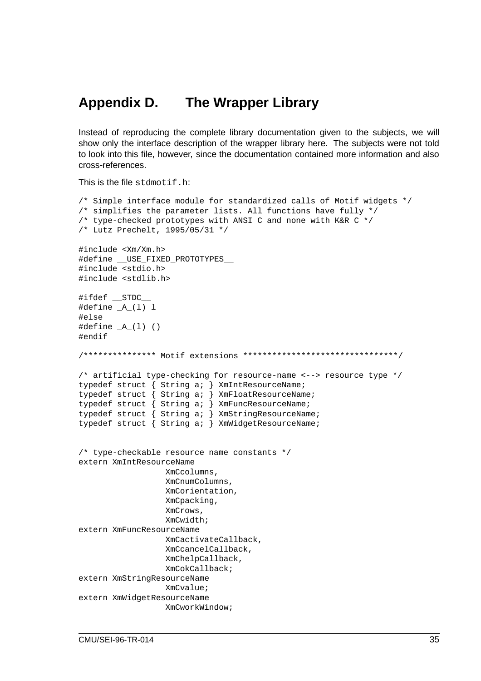### **Appendix D. The Wrapper Library**

Instead of reproducing the complete library documentation given to the subjects, we will show only the interface description of the wrapper library here. The subjects were not told to look into this file, however, since the documentation contained more information and also cross-references.

This is the file stdmotif.h:

```
/* Simple interface module for standardized calls of Motif widgets */
\gamma^* simplifies the parameter lists. All functions have fully \gamma/* type-checked prototypes with ANSI C and none with K&R C */
/* Lutz Prechelt, 1995/05/31 */
#include <Xm/Xm.h>
#define __USE_FIXED_PROTOTYPES__
#include <stdio.h>
#include <stdlib.h>
#ifdef STDC
#define _A_(l) l
#else
\#define _A(1) ()
#endif
/*************** Motif extensions ********************************/
/* artificial type-checking for resource-name <--> resource type */
typedef struct { String a; } XmIntResourceName;
typedef struct { String a; } XmFloatResourceName;
typedef struct { String a; } XmFuncResourceName;
typedef struct { String a; } XmStringResourceName;
typedef struct { String a; } XmWidgetResourceName;
/* type-checkable resource name constants */
extern XmIntResourceName
                  XmCcolumns,
                  XmCnumColumns,
                  XmCorientation,
                  XmCpacking,
                  XmCrows,
                  XmCwidth;
extern XmFuncResourceName
                  XmCactivateCallback,
                  XmCcancelCallback,
                  XmChelpCallback,
                  XmCokCallback;
extern XmStringResourceName
                  XmCvalue;
extern XmWidgetResourceName
                  XmCworkWindow;
```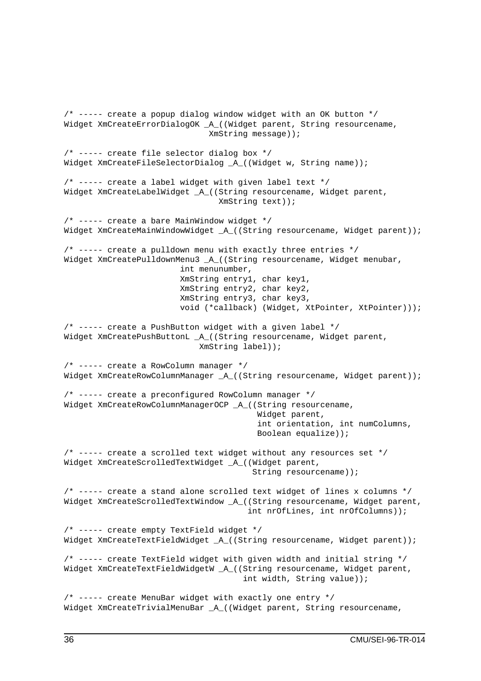/\* ----- create a popup dialog window widget with an OK button \*/ Widget XmCreateErrorDialogOK \_A\_((Widget parent, String resourcename, XmString message)); /\* ----- create file selector dialog box \*/ Widget XmCreateFileSelectorDialog \_A\_((Widget w, String name)); /\* ----- create a label widget with given label text \*/ Widget XmCreateLabelWidget \_A\_((String resourcename, Widget parent, XmString text)); /\* ----- create a bare MainWindow widget \*/ Widget XmCreateMainWindowWidget \_A\_((String resourcename, Widget parent)); /\* ----- create a pulldown menu with exactly three entries \*/ Widget XmCreatePulldownMenu3 \_A\_((String resourcename, Widget menubar, int menunumber, XmString entry1, char key1, XmString entry2, char key2, XmString entry3, char key3, void (\*callback) (Widget, XtPointer, XtPointer))); /\* ----- create a PushButton widget with a given label \*/ Widget XmCreatePushButtonL \_A\_((String resourcename, Widget parent, XmString label)); /\* ----- create a RowColumn manager \*/ Widget XmCreateRowColumnManager \_A\_((String resourcename, Widget parent)); /\* ----- create a preconfigured RowColumn manager \*/ Widget XmCreateRowColumnManagerOCP \_A\_((String resourcename, Widget parent, int orientation, int numColumns, Boolean equalize));  $\frac{1}{x}$  ----- create a scrolled text widget without any resources set  $\frac{x}{x}$ Widget XmCreateScrolledTextWidget \_A\_((Widget parent, String resourcename)); /\* ----- create a stand alone scrolled text widget of lines x columns \*/ Widget XmCreateScrolledTextWindow \_A\_((String resourcename, Widget parent, int nrOfLines, int nrOfColumns)); /\* ----- create empty TextField widget \*/ Widget XmCreateTextFieldWidget \_A\_((String resourcename, Widget parent)); /\* ----- create TextField widget with given width and initial string \*/ Widget XmCreateTextFieldWidgetW \_A\_((String resourcename, Widget parent, int width, String value)); /\* ----- create MenuBar widget with exactly one entry \*/ Widget XmCreateTrivialMenuBar A ((Widget parent, String resourcename,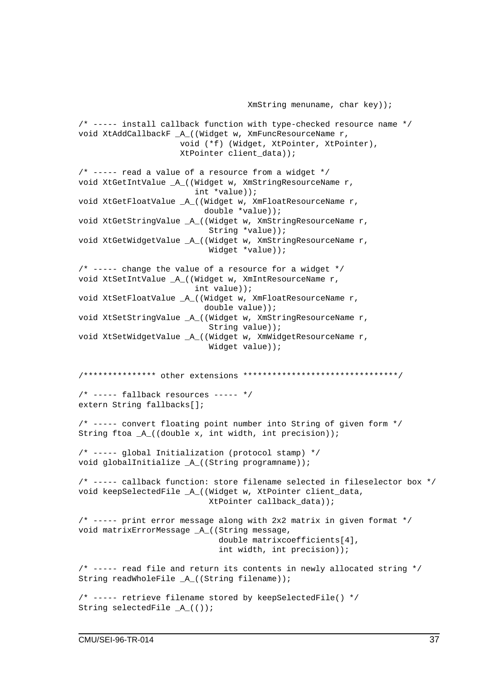```
/* ----- install callback function with type-checked resource name */
void XtAddCallbackF _A_((Widget w, XmFuncResourceName r,
                     void (*f) (Widget, XtPointer, XtPointer),
                     XtPointer client_data));
/* ----- read a value of a resource from a widget */void XtGetIntValue _A_((Widget w, XmStringResourceName r,
                        int *value));
void XtGetFloatValue _A_((Widget w, XmFloatResourceName r,
                          double *value));
void XtGetStringValue _A_((Widget w, XmStringResourceName r,
                           String *value));
void XtGetWidgetValue _A_((Widget w, XmStringResourceName r,
                          Widget *value));
/* ----- change the value of a resource for a widget */void XtSetIntValue _A_((Widget w, XmIntResourceName r,
                        int value));
void XtSetFloatValue A ((Widget w, XmFloatResourceName r,
                          double value));
void XtSetStringValue _A_((Widget w, XmStringResourceName r,
                          String value));
void XtSetWidgetValue _A_((Widget w, XmWidgetResourceName r,
                           Widget value));
/*************** other extensions ********************************/
/* ----- fallback resources ----- */extern String fallbacks[];
/* ----- convert floating point number into String of given form */
String ftoa _A_((double x, int width, int precision));
/* ----- global Initialization (protocol stamp) */
void globalInitialize _A_((String programname));
/* ----- callback function: store filename selected in fileselector box */
void keepSelectedFile _A_((Widget w, XtPointer client_data,
                          XtPointer callback_data));
/* ----- print error message along with 2x2 matrix in given format */
void matrixErrorMessage _A_((String message,
                             double matrixcoefficients[4],
                             int width, int precision));
/* ----- read file and return its contents in newly allocated string */
String readWholeFile A ((String filename));
/* ----- retrieve filename stored by keepSelectedFile() */
String selectedFile A (());
```
XmString menuname, char key));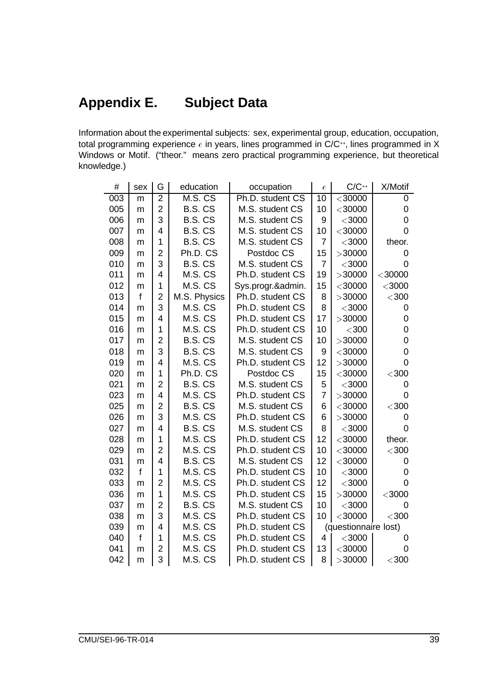## **Appendix E. Subject Data**

Information about the experimental subjects: sex, experimental group, education, occupation, total programming experience  $e$  in years, lines programmed in C/C++, lines programmed in X Windows or Motif. ("theor." means zero practical programming experience, but theoretical knowledge.)

| #   | sex          | G              | education    | occupation        | $\epsilon$     | $C/C^{++}$           | X/Motif        |  |
|-----|--------------|----------------|--------------|-------------------|----------------|----------------------|----------------|--|
| 003 | m            | $\overline{2}$ | M.S. CS      | Ph.D. student CS  | 10             | < 30000              | 0              |  |
| 005 | m            | $\overline{2}$ | B.S. CS      | M.S. student CS   | 10             | $<$ 30000            | 0              |  |
| 006 | m            | 3              | B.S. CS      | M.S. student CS   | 9              | $<$ 3000             | 0              |  |
| 007 | m            | 4              | B.S. CS      | M.S. student CS   | 10             | $<$ 30000            | $\overline{0}$ |  |
| 008 | m            | 1              | B.S. CS      | M.S. student CS   | $\overline{7}$ | $<$ 3000             | theor.         |  |
| 009 | m            | $\overline{2}$ | Ph.D. CS     | Postdoc CS        | 15             | >30000               | $\overline{0}$ |  |
| 010 | m            | 3              | B.S. CS      | M.S. student CS   | $\overline{7}$ | $<$ 3000             | $\overline{0}$ |  |
| 011 | m            | 4              | M.S. CS      | Ph.D. student CS  | 19             | >30000               | $<$ 30000      |  |
| 012 | m            | 1              | M.S. CS      | Sys.progr.&admin. | 15             | $<$ 30000            | $<$ 3000       |  |
| 013 | $\mathsf{f}$ | $\overline{2}$ | M.S. Physics | Ph.D. student CS  | 8              | >30000               | $300$          |  |
| 014 | m            | 3              | M.S. CS      | Ph.D. student CS  | 8              | $<$ 3000             | 0              |  |
| 015 | m            | 4              | M.S. CS      | Ph.D. student CS  | 17             | >30000               | 0              |  |
| 016 | m            | $\mathbf 1$    | M.S. CS      | Ph.D. student CS  | 10             | $<$ 300 $\,$         | 0              |  |
| 017 | m            | $\overline{2}$ | B.S. CS      | M.S. student CS   | 10             | >30000               | 0              |  |
| 018 | m            | 3              | B.S. CS      | M.S. student CS   | 9              | $<$ 30000            | 0              |  |
| 019 | m            | 4              | M.S. CS      | Ph.D. student CS  | 12             | >30000               | $\overline{0}$ |  |
| 020 | m            | 1              | Ph.D. CS     | Postdoc CS        | 15             | $<$ 30000            | $<$ 300 $\,$   |  |
| 021 | m            | $\overline{2}$ | B.S. CS      | M.S. student CS   | 5              | $<$ 3000             | 0              |  |
| 023 | m            | 4              | M.S. CS      | Ph.D. student CS  | 7              | >30000               | $\overline{0}$ |  |
| 025 | m            | $\overline{2}$ | B.S. CS      | M.S. student CS   | 6              | $<$ 30000            | $300$          |  |
| 026 | m            | 3              | M.S. CS      | Ph.D. student CS  | 6              | >30000               | 0              |  |
| 027 | m            | $\overline{4}$ | B.S. CS      | M.S. student CS   | 8              | $<$ 3000             | $\mathbf 0$    |  |
| 028 | m            | 1              | M.S. CS      | Ph.D. student CS  | 12             | $<$ 30000            | theor.         |  |
| 029 | m            | $\overline{2}$ | M.S. CS      | Ph.D. student CS  | 10             | $<$ 30000            | $300$          |  |
| 031 | m            | 4              | B.S. CS      | M.S. student CS   | 12             | $<$ 30000            | 0              |  |
| 032 | $\mathbf{f}$ | 1              | M.S. CS      | Ph.D. student CS  | 10             | $<$ 3000             | 0              |  |
| 033 | m            | $\overline{2}$ | M.S. CS      | Ph.D. student CS  | 12             | $<$ 3000             | $\overline{0}$ |  |
| 036 | m            | 1              | M.S. CS      | Ph.D. student CS  | 15             | >30000               | $<$ 3000       |  |
| 037 | m            | $\overline{2}$ | B.S. CS      | M.S. student CS   | 10             | $<$ 3000             | 0              |  |
| 038 | m            | 3              | M.S. CS      | Ph.D. student CS  | 10             | $<$ 30000            | $300$          |  |
| 039 | m            | 4              | M.S. CS      | Ph.D. student CS  |                | (questionnaire lost) |                |  |
| 040 | $\mathsf{f}$ | 1              | M.S. CS      | Ph.D. student CS  | 4              | $<$ 3000 $\,$        | 0              |  |
| 041 | m            | $\overline{2}$ | M.S. CS      | Ph.D. student CS  | 13             | $<$ 30000            | 0              |  |
| 042 | m            | 3              | M.S. CS      | Ph.D. student CS  | 8              | >30000               | $300$          |  |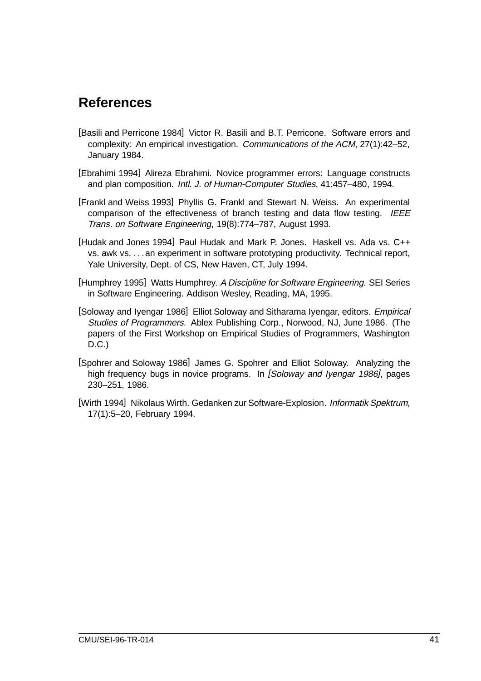## **References**

- [Basili and Perricone 1984] Victor R. Basili and B.T. Perricone. Software errors and complexity: An empirical investigation. Communications of the ACM, 27(1):42–52, January 1984.
- [Ebrahimi 1994] Alireza Ebrahimi. Novice programmer errors: Language constructs and plan composition. Intl. J. of Human-Computer Studies, 41:457–480, 1994.
- [Frankl and Weiss 1993] Phyllis G. Frankl and Stewart N. Weiss. An experimental comparison of the effectiveness of branch testing and data flow testing. IEEE Trans. on Software Engineering, 19(8):774–787, August 1993.
- [Hudak and Jones 1994] Paul Hudak and Mark P. Jones. Haskell vs. Ada vs. C++ vs. awk vs. ::: an experiment in software prototyping productivity. Technical report, Yale University, Dept. of CS, New Haven, CT, July 1994.
- [Humphrey 1995] Watts Humphrey. A Discipline for Software Engineering. SEI Series in Software Engineering. Addison Wesley, Reading, MA, 1995.
- [Soloway and Iyengar 1986] Elliot Soloway and Sitharama Iyengar, editors. Empirical Studies of Programmers. Ablex Publishing Corp., Norwood, NJ, June 1986. (The papers of the First Workshop on Empirical Studies of Programmers, Washington D.C.)
- [Spohrer and Soloway 1986] James G. Spohrer and Elliot Soloway. Analyzing the high frequency bugs in novice programs. In [Soloway and Iyengar 1986], pages 230–251, 1986.
- [Wirth 1994] Nikolaus Wirth. Gedanken zur Software-Explosion. Informatik Spektrum, 17(1):5–20, February 1994.